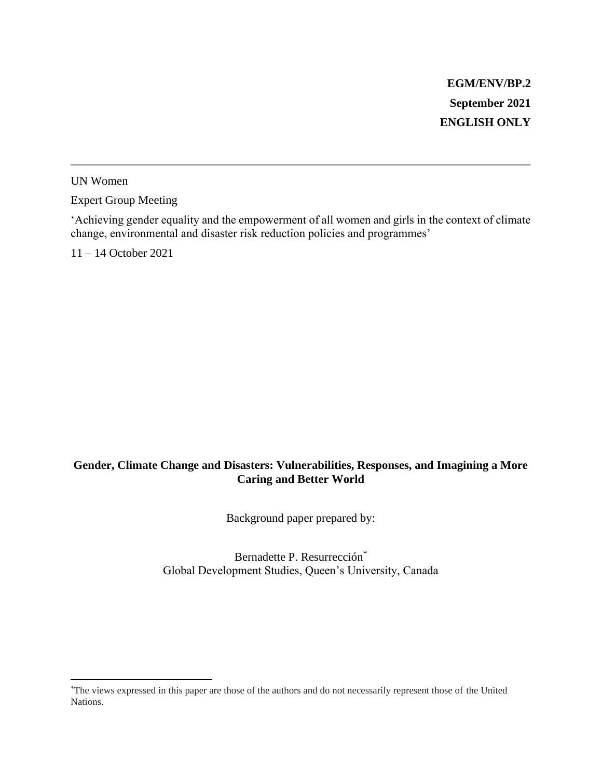UN Women

Expert Group Meeting

'Achieving gender equality and the empowerment of all women and girls in the context of climate change, environmental and disaster risk reduction policies and programmes'

11 – 14 October 2021

#### **Gender, Climate Change and Disasters: Vulnerabilities, Responses, and Imagining a More Caring and Better World**

Background paper prepared by:

Bernadette P. Resurrección<sup>\*</sup> Global Development Studies, Queen's University, Canada

<sup>\*</sup>The views expressed in this paper are those of the authors and do not necessarily represent those of the United Nations.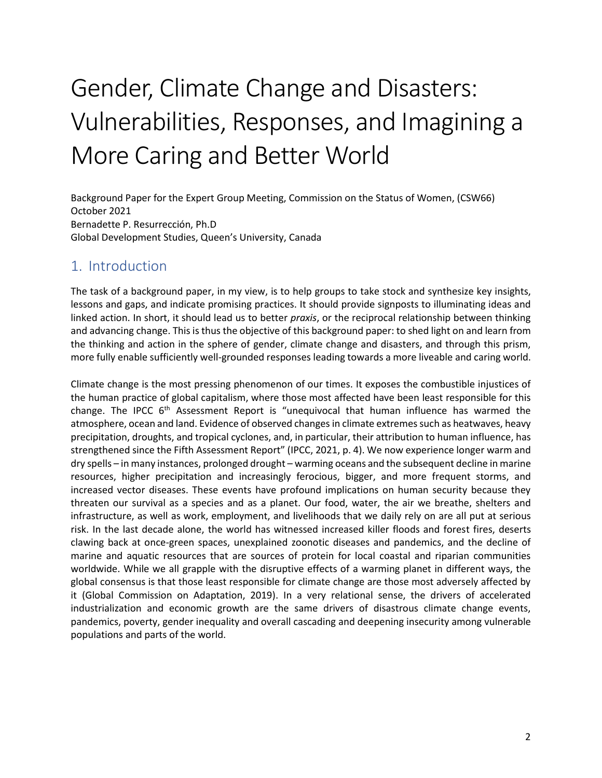# Gender, Climate Change and Disasters: Vulnerabilities, Responses, and Imagining a More Caring and Better World

Background Paper for the Expert Group Meeting, Commission on the Status of Women, (CSW66) October 2021 Bernadette P. Resurrección, Ph.D Global Development Studies, Queen's University, Canada

## 1. Introduction

The task of a background paper, in my view, is to help groups to take stock and synthesize key insights, lessons and gaps, and indicate promising practices. It should provide signposts to illuminating ideas and linked action. In short, it should lead us to better *praxis*, or the reciprocal relationship between thinking and advancing change. This is thus the objective of this background paper: to shed light on and learn from the thinking and action in the sphere of gender, climate change and disasters, and through this prism, more fully enable sufficiently well-grounded responses leading towards a more liveable and caring world.

Climate change is the most pressing phenomenon of our times. It exposes the combustible injustices of the human practice of global capitalism, where those most affected have been least responsible for this change. The IPCC  $6<sup>th</sup>$  Assessment Report is "unequivocal that human influence has warmed the atmosphere, ocean and land. Evidence of observed changes in climate extremes such as heatwaves, heavy precipitation, droughts, and tropical cyclones, and, in particular, their attribution to human influence, has strengthened since the Fifth Assessment Report" [\(IPCC, 2021, p. 4\)](#page-19-0). We now experience longer warm and dry spells – in many instances, prolonged drought – warming oceans and the subsequent decline in marine resources, higher precipitation and increasingly ferocious, bigger, and more frequent storms, and increased vector diseases. These events have profound implications on human security because they threaten our survival as a species and as a planet. Our food, water, the air we breathe, shelters and infrastructure, as well as work, employment, and livelihoods that we daily rely on are all put at serious risk. In the last decade alone, the world has witnessed increased killer floods and forest fires, deserts clawing back at once-green spaces, unexplained zoonotic diseases and pandemics, and the decline of marine and aquatic resources that are sources of protein for local coastal and riparian communities worldwide. While we all grapple with the disruptive effects of a warming planet in different ways, the global consensus is that those least responsible for climate change are those most adversely affected by it (Global Commission on Adaptation, 2019). In a very relational sense, the drivers of accelerated industrialization and economic growth are the same drivers of disastrous climate change events, pandemics, poverty, gender inequality and overall cascading and deepening insecurity among vulnerable populations and parts of the world.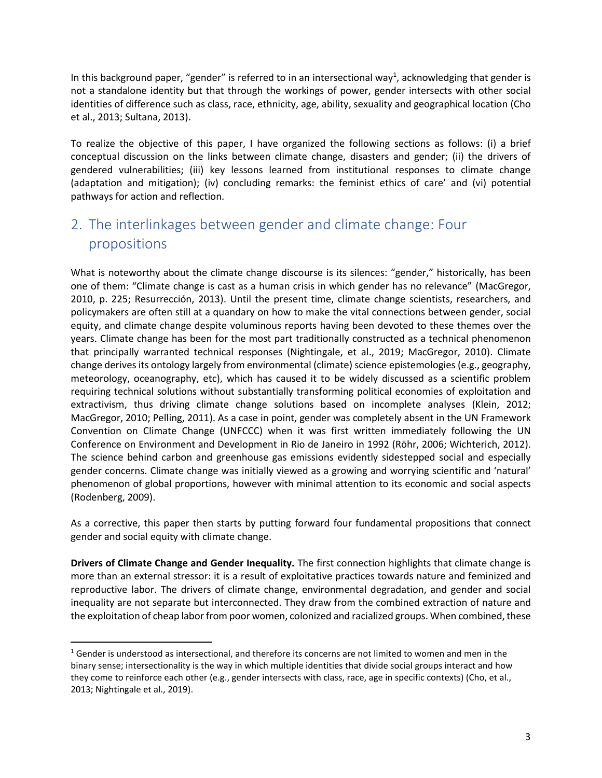In this background paper, "gender" is referred to in an intersectional way<sup>1</sup>, acknowledging that gender is not a standalone identity but that through the workings of power, gender intersects with other social identities of difference such as class, race, ethnicity, age, ability, sexuality and geographical location [\(Cho](#page-18-0)  [et al., 2013;](#page-18-0) [Sultana, 2013\)](#page-22-0).

To realize the objective of this paper, I have organized the following sections as follows: (i) a brief conceptual discussion on the links between climate change, disasters and gender; (ii) the drivers of gendered vulnerabilities; (iii) key lessons learned from institutional responses to climate change (adaptation and mitigation); (iv) concluding remarks: the feminist ethics of care' and (vi) potential pathways for action and reflection.

## 2. The interlinkages between gender and climate change: Four propositions

What is noteworthy about the climate change discourse is its silences: "gender," historically, has been one of them: "Climate change is cast as a human crisis in which gender has no relevance" [\(MacGregor,](#page-20-0)  [2010, p. 225;](#page-20-0) [Resurrección, 2013\)](#page-21-0). Until the present time, climate change scientists, researchers, and policymakers are often still at a quandary on how to make the vital connections between gender, social equity, and climate change despite voluminous reports having been devoted to these themes over the years. Climate change has been for the most part traditionally constructed as a technical phenomenon that principally warranted technical responses (Nightingale, et al., 2019; MacGregor, 2010). Climate change derives its ontology largely from environmental (climate) science epistemologies (e.g., geography, meteorology, oceanography, etc), which has caused it to be widely discussed as a scientific problem requiring technical solutions without substantially transforming political economies of exploitation and extractivism, thus driving climate change solutions based on incomplete analyses [\(Klein, 2012;](#page-20-1) [MacGregor, 2010;](#page-20-0) [Pelling, 2011\)](#page-21-1). As a case in point, gender was completely absent in the UN Framework Convention on Climate Change (UNFCCC) when it was first written immediately following the UN Conference on Environment and Development in Rio de Janeiro in 1992 [\(Röhr, 2006;](#page-21-2) [Wichterich, 2012\)](#page-22-1). The science behind carbon and greenhouse gas emissions evidently sidestepped social and especially gender concerns. Climate change was initially viewed as a growing and worrying scientific and 'natural' phenomenon of global proportions, however with minimal attention to its economic and social aspects [\(Rodenberg, 2009\)](#page-21-3).

As a corrective, this paper then starts by putting forward four fundamental propositions that connect gender and social equity with climate change.

**Drivers of Climate Change and Gender Inequality.** The first connection highlights that climate change is more than an external stressor: it is a result of exploitative practices towards nature and feminized and reproductive labor. The drivers of climate change, environmental degradation, and gender and social inequality are not separate but interconnected. They draw from the combined extraction of nature and the exploitation of cheap labor from poor women, colonized and racialized groups. When combined, these

 $1$  Gender is understood as intersectional, and therefore its concerns are not limited to women and men in the binary sense; intersectionality is the way in which multiple identities that divide social groups interact and how they come to reinforce each other (e.g., gender intersects with class, race, age in specific contexts) (Cho, et al., 2013; Nightingale et al., 2019).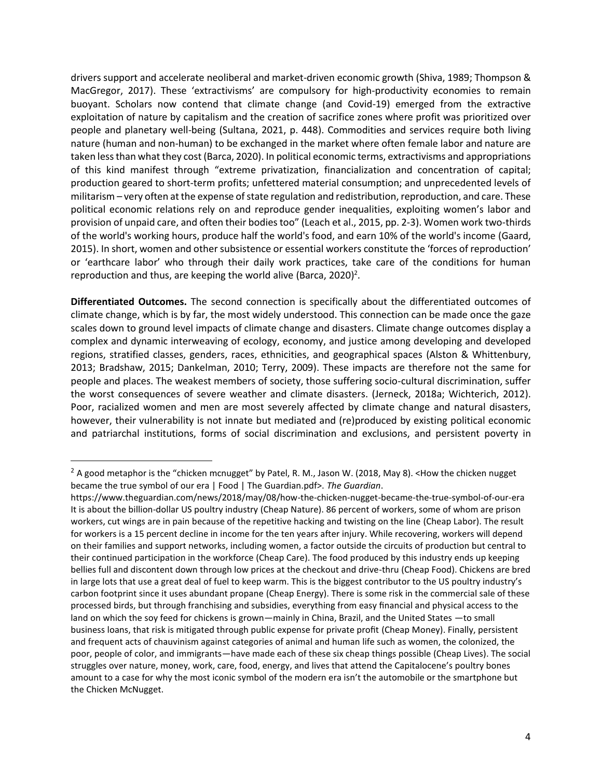drivers support and accelerate neoliberal and market-driven economic growth [\(Shiva, 1989;](#page-21-4) [Thompson &](#page-22-2)  [MacGregor, 2017\)](#page-22-2). These 'extractivisms' are compulsory for high-productivity economies to remain buoyant. Scholars now contend that climate change (and Covid-19) emerged from the extractive exploitation of nature by capitalism and the creation of sacrifice zones where profit was prioritized over people and planetary well-being [\(Sultana, 2021, p. 448\)](#page-22-3). Commodities and services require both living nature (human and non-human) to be exchanged in the market where often female labor and nature are taken less than what they cost [\(Barca, 2020\)](#page-18-1). In political economic terms, extractivisms and appropriations of this kind manifest through "extreme privatization, financialization and concentration of capital; production geared to short-term profits; unfettered material consumption; and unprecedented levels of militarism – very often at the expense of state regulation and redistribution, reproduction, and care. These political economic relations rely on and reproduce gender inequalities, exploiting women's labor and provision of unpaid care, and often their bodies too" [\(Leach et al., 2015, pp. 2-3\)](#page-20-2). Women work two-thirds of the world's working hours, produce half the world's food, and earn 10% of the world's income [\(Gaard,](#page-19-1)  [2015\)](#page-19-1). In short, women and other subsistence or essential workers constitute the 'forces of reproduction' or 'earthcare labor' who through their daily work practices, take care of the conditions for human reproduction and thus, are keeping the world alive [\(Barca, 2020\)](#page-18-1)<sup>2</sup>.

**Differentiated Outcomes.** The second connection is specifically about the differentiated outcomes of climate change, which is by far, the most widely understood. This connection can be made once the gaze scales down to ground level impacts of climate change and disasters. Climate change outcomes display a complex and dynamic interweaving of ecology, economy, and justice among developing and developed regions, stratified classes, genders, races, ethnicities, and geographical spaces [\(Alston & Whittenbury,](#page-18-2)  [2013;](#page-18-2) [Bradshaw, 2015;](#page-18-3) [Dankelman, 2010;](#page-18-4) [Terry, 2009\)](#page-22-4). These impacts are therefore not the same for people and places. The weakest members of society, those suffering socio-cultural discrimination, suffer the worst consequences of severe weather and climate disasters. [\(Jerneck, 2018a;](#page-19-2) [Wichterich, 2012\)](#page-22-1). Poor, racialized women and men are most severely affected by climate change and natural disasters, however, their vulnerability is not innate but mediated and (re)produced by existing political economic and patriarchal institutions, forms of social discrimination and exclusions, and persistent poverty in

 $2$  A good metaphor is the "chicken mcnugget" by Patel, R. M., Jason W. (2018, May 8). <How the chicken nugget became the true symbol of our era | Food | The Guardian.pdf>. *The Guardian*.

https://www.theguardian.com/news/2018/may/08/how-the-chicken-nugget-became-the-true-symbol-of-our-era It is about the billion-dollar US poultry industry (Cheap Nature). 86 percent of workers, some of whom are prison workers, cut wings are in pain because of the repetitive hacking and twisting on the line (Cheap Labor). The result for workers is a 15 percent decline in income for the ten years after injury. While recovering, workers will depend on their families and support networks, including women, a factor outside the circuits of production but central to their continued participation in the workforce (Cheap Care). The food produced by this industry ends up keeping bellies full and discontent down through low prices at the checkout and drive-thru (Cheap Food). Chickens are bred in large lots that use a great deal of fuel to keep warm. This is the biggest contributor to the US poultry industry's carbon footprint since it uses abundant propane (Cheap Energy). There is some risk in the commercial sale of these processed birds, but through franchising and subsidies, everything from easy financial and physical access to the land on which the soy feed for chickens is grown—mainly in China, Brazil, and the United States —to small business loans, that risk is mitigated through public expense for private profit (Cheap Money). Finally, persistent and frequent acts of chauvinism against categories of animal and human life such as women, the colonized, the poor, people of color, and immigrants—have made each of these six cheap things possible (Cheap Lives). The social struggles over nature, money, work, care, food, energy, and lives that attend the Capitalocene's poultry bones amount to a case for why the most iconic symbol of the modern era isn't the automobile or the smartphone but the Chicken McNugget.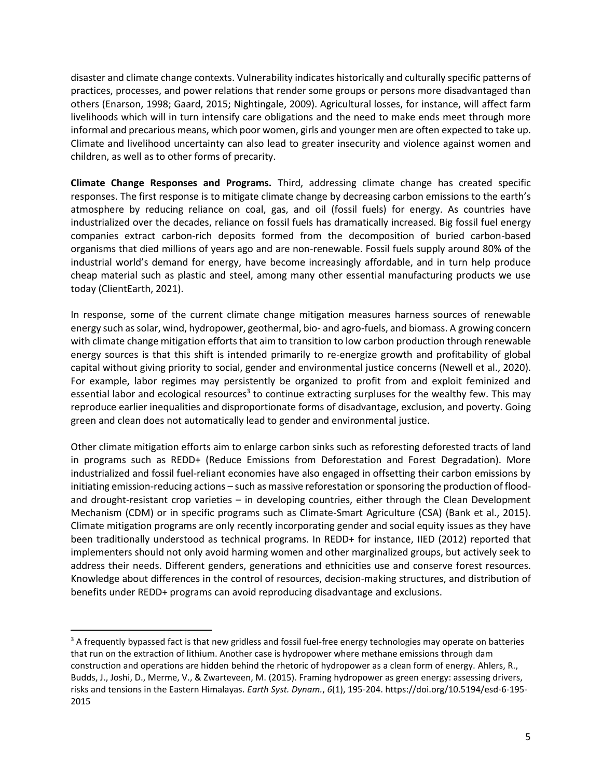disaster and climate change contexts. Vulnerability indicates historically and culturally specific patterns of practices, processes, and power relations that render some groups or persons more disadvantaged than others [\(Enarson, 1998;](#page-18-5) [Gaard, 2015;](#page-19-1) [Nightingale, 2009\)](#page-20-3). Agricultural losses, for instance, will affect farm livelihoods which will in turn intensify care obligations and the need to make ends meet through more informal and precarious means, which poor women, girls and younger men are often expected to take up. Climate and livelihood uncertainty can also lead to greater insecurity and violence against women and children, as well as to other forms of precarity.

**Climate Change Responses and Programs.** Third, addressing climate change has created specific responses. The first response is to mitigate climate change by decreasing carbon emissions to the earth's atmosphere by reducing reliance on coal, gas, and oil (fossil fuels) for energy. As countries have industrialized over the decades, reliance on fossil fuels has dramatically increased. Big fossil fuel energy companies extract carbon-rich deposits formed from the decomposition of buried carbon-based organisms that died millions of years ago and are non-renewable. Fossil fuels supply around 80% of the industrial world's demand for energy, have become increasingly affordable, and in turn help produce cheap material such as plastic and steel, among many other essential manufacturing products we use today [\(ClientEarth, 2021\)](#page-18-6).

In response, some of the current climate change mitigation measures harness sources of renewable energy such as solar, wind, hydropower, geothermal, bio- and agro-fuels, and biomass. A growing concern with climate change mitigation efforts that aim to transition to low carbon production through renewable energy sources is that this shift is intended primarily to re-energize growth and profitability of global capital without giving priority to social, gender and environmental justice concerns [\(Newell et](#page-20-4) al., 2020). For example, labor regimes may persistently be organized to profit from and exploit feminized and essential labor and ecological resources<sup>3</sup> to continue extracting surpluses for the wealthy few. This may reproduce earlier inequalities and disproportionate forms of disadvantage, exclusion, and poverty. Going green and clean does not automatically lead to gender and environmental justice.

Other climate mitigation efforts aim to enlarge carbon sinks such as reforesting deforested tracts of land in programs such as REDD+ (Reduce Emissions from Deforestation and Forest Degradation). More industrialized and fossil fuel-reliant economies have also engaged in offsetting their carbon emissions by initiating emission-reducing actions – such as massive reforestation or sponsoring the production of floodand drought-resistant crop varieties – in developing countries, either through the Clean Development Mechanism (CDM) or in specific programs such as Climate-Smart Agriculture (CSA) [\(Bank et al., 2015\)](#page-18-7). Climate mitigation programs are only recently incorporating gender and social equity issues as they have been traditionally understood as technical programs. In REDD+ for instance, [IIED \(2012\)](#page-19-3) reported that implementers should not only avoid harming women and other marginalized groups, but actively seek to address their needs. Different genders, generations and ethnicities use and conserve forest resources. Knowledge about differences in the control of resources, decision-making structures, and distribution of benefits under REDD+ programs can avoid reproducing disadvantage and exclusions.

<sup>&</sup>lt;sup>3</sup> A frequently bypassed fact is that new gridless and fossil fuel-free energy technologies may operate on batteries that run on the extraction of lithium. Another case is hydropower where methane emissions through dam construction and operations are hidden behind the rhetoric of hydropower as a clean form of energy. Ahlers, R., Budds, J., Joshi, D., Merme, V., & Zwarteveen, M. (2015). Framing hydropower as green energy: assessing drivers, risks and tensions in the Eastern Himalayas. *Earth Syst. Dynam.*, *6*(1), 195-204. https://doi.org/10.5194/esd-6-195- 2015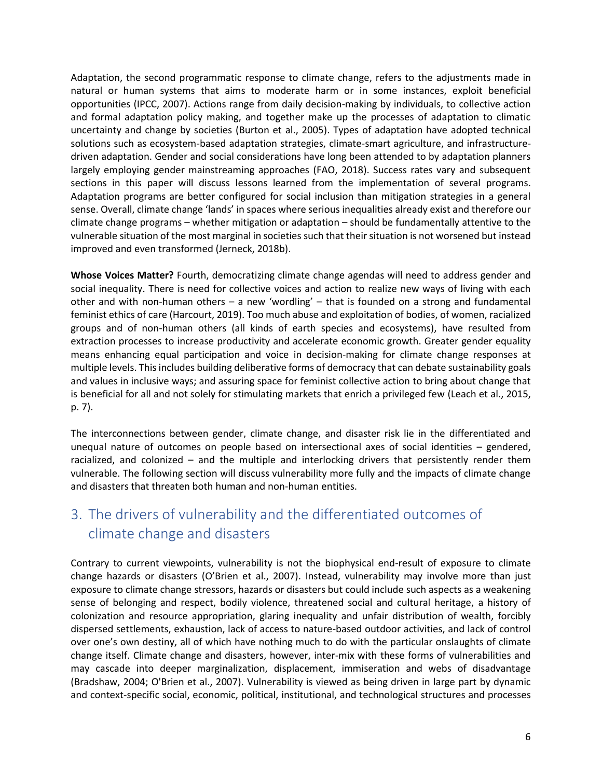Adaptation, the second programmatic response to climate change, refers to the adjustments made in natural or human systems that aims to moderate harm or in some instances, exploit beneficial opportunities [\(IPCC, 2007\)](#page-19-4). Actions range from daily decision-making by individuals, to collective action and formal adaptation policy making, and together make up the processes of adaptation to climatic uncertainty and change by societies [\(Burton et al., 2005\)](#page-18-8). Types of adaptation have adopted technical solutions such as ecosystem-based adaptation strategies, climate-smart agriculture, and infrastructuredriven adaptation. Gender and social considerations have long been attended to by adaptation planners largely employing gender mainstreaming approaches [\(FAO, 2018\)](#page-19-5). Success rates vary and subsequent sections in this paper will discuss lessons learned from the implementation of several programs. Adaptation programs are better configured for social inclusion than mitigation strategies in a general sense. Overall, climate change 'lands' in spaces where serious inequalities already exist and therefore our climate change programs – whether mitigation or adaptation – should be fundamentally attentive to the vulnerable situation of the most marginal in societies such that their situation is not worsened but instead improved and even transformed [\(Jerneck, 2018b\)](#page-19-6).

**Whose Voices Matter?** Fourth, democratizing climate change agendas will need to address gender and social inequality. There is need for collective voices and action to realize new ways of living with each other and with non-human others – a new 'wordling' – that is founded on a strong and fundamental feminist ethics of care [\(Harcourt, 2019\)](#page-19-7). Too much abuse and exploitation of bodies, of women, racialized groups and of non-human others (all kinds of earth species and ecosystems), have resulted from extraction processes to increase productivity and accelerate economic growth. Greater gender equality means enhancing equal participation and voice in decision-making for climate change responses at multiple levels. This includes building deliberative forms of democracy that can debate sustainability goals and values in inclusive ways; and assuring space for feminist collective action to bring about change that is beneficial for all and not solely for stimulating markets that enrich a privileged few [\(Leach et al., 2015,](#page-20-2)  [p. 7\)](#page-20-2).

The interconnections between gender, climate change, and disaster risk lie in the differentiated and unequal nature of outcomes on people based on intersectional axes of social identities – gendered, racialized, and colonized – and the multiple and interlocking drivers that persistently render them vulnerable. The following section will discuss vulnerability more fully and the impacts of climate change and disasters that threaten both human and non-human entities.

# 3. The drivers of vulnerability and the differentiated outcomes of climate change and disasters

Contrary to current viewpoints, vulnerability is not the biophysical end-result of exposure to climate change hazards or disasters (O'Brien et al., 2007). Instead, vulnerability may involve more than just exposure to climate change stressors, hazards or disasters but could include such aspects as a weakening sense of belonging and respect, bodily violence, threatened social and cultural heritage, a history of colonization and resource appropriation, glaring inequality and unfair distribution of wealth, forcibly dispersed settlements, exhaustion, lack of access to nature-based outdoor activities, and lack of control over one's own destiny, all of which have nothing much to do with the particular onslaughts of climate change itself. Climate change and disasters, however, inter-mix with these forms of vulnerabilities and may cascade into deeper marginalization, displacement, immiseration and webs of disadvantage [\(Bradshaw, 2004;](#page-18-9) [O'Brien et al., 2007\)](#page-20-5). Vulnerability is viewed as being driven in large part by dynamic and context-specific social, economic, political, institutional, and technological structures and processes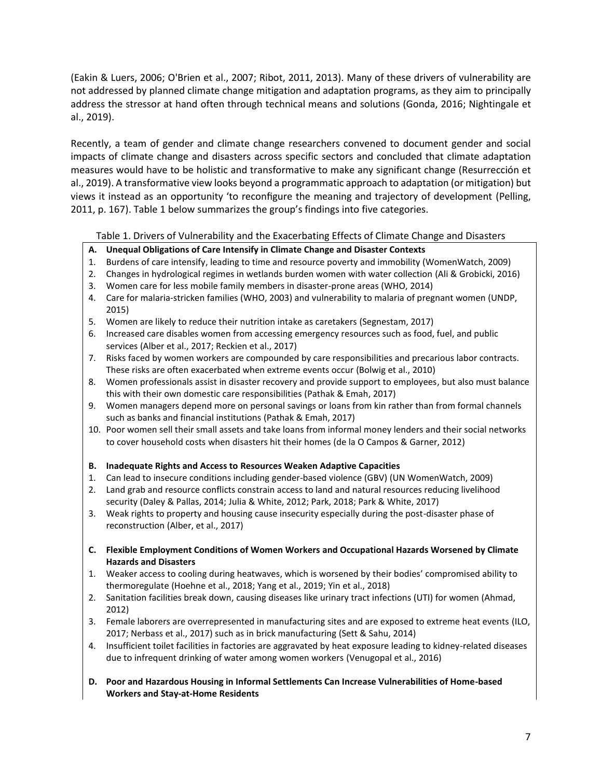[\(Eakin & Luers, 2006;](#page-18-10) [O'Brien et al., 2007;](#page-20-5) [Ribot, 2011,](#page-21-5) [2013\)](#page-21-6). Many of these drivers of vulnerability are not addressed by planned climate change mitigation and adaptation programs, as they aim to principally address the stressor at hand often through technical means and solutions [\(Gonda, 2016;](#page-19-8) [Nightingale et](#page-20-6)  [al., 2019\)](#page-20-6).

Recently, a team of gender and climate change researchers convened to document gender and social impacts of climate change and disasters across specific sectors and concluded that climate adaptation measures would have to be holistic and transformative to make any significant change [\(Resurrección et](#page-21-7)  [al., 2019\)](#page-21-7). A transformative view looks beyond a programmatic approach to adaptation (or mitigation) but views it instead as an opportunity 'to reconfigure the meaning and trajectory of development [\(Pelling,](#page-21-1)  [2011, p. 167\)](#page-21-1). Table 1 below summarizes the group's findings into five categories.

Table 1. Drivers of Vulnerability and the Exacerbating Effects of Climate Change and Disasters

#### **A. Unequal Obligations of Care Intensify in Climate Change and Disaster Contexts**

- 1. Burdens of care intensify, leading to time and resource poverty and immobility [\(WomenWatch, 2009\)](#page-22-5)
- 2. Changes in hydrological regimes in wetlands burden women with water collection [\(Ali & Grobicki, 2016\)](#page-18-11)
- 3. Women care for less mobile family members in disaster-prone areas [\(WHO, 2014\)](#page-22-6)
- 4. Care for malaria-stricken families (WHO, 2003) and vulnerability to malaria of pregnant women [\(UNDP,](#page-22-7)  [2015\)](#page-22-7)
- 5. Women are likely to reduce their nutrition intake as caretakers [\(Segnestam, 2017\)](#page-21-8)
- 6. Increased care disables women from accessing emergency resources such as food, fuel, and public services [\(Alber et al., 2017;](#page-18-12) [Reckien et al., 2017\)](#page-21-9)
- 7. Risks faced by women workers are compounded by care responsibilities and precarious labor contracts. These risks are often exacerbated when extreme events occur [\(Bolwig et al., 2010\)](#page-18-13)
- 8. Women professionals assist in disaster recovery and provide support to employees, but also must balance this with their own domestic care responsibilities [\(Pathak & Emah, 2017\)](#page-21-10)
- 9. Women managers depend more on personal savings or loans from kin rather than from formal channels such as banks and financial institutions (Pathak & Emah, 2017)
- 10. Poor women sell their small assets and take loans from informal money lenders and their social networks to cover household costs when disasters hit their homes [\(de la O Campos & Garner, 2012\)](#page-18-14)

#### **B. Inadequate Rights and Access to Resources Weaken Adaptive Capacities**

- 1. Can lead to insecure conditions including gender-based violence (GBV) (UN WomenWatch, 2009)
- 2. Land grab and resource conflicts constrain access to land and natural resources reducing livelihood security [\(Daley & Pallas, 2014;](#page-18-15) [Julia & White, 2012;](#page-19-9) [Park, 2018;](#page-20-7) [Park & White, 2017\)](#page-20-8)
- 3. Weak rights to property and housing cause insecurity especially during the post-disaster phase of reconstruction (Alber, et al., 2017)
- **C. Flexible Employment Conditions of Women Workers and Occupational Hazards Worsened by Climate Hazards and Disasters**
- 1. Weaker access to cooling during heatwaves, which is worsened by their bodies' compromised ability to thermoregulate [\(Hoehne et al., 2018;](#page-19-10) [Yang et al., 2019;](#page-22-8) [Yin et al., 2018\)](#page-22-9)
- 2. Sanitation facilities break down, causing diseases like urinary tract infections (UTI) for women [\(Ahmad,](#page-17-0)  [2012\)](#page-17-0)
- 3. Female laborers are overrepresented in manufacturing sites and are exposed to extreme heat events [\(ILO,](#page-19-11)  [2017;](#page-19-11) [Nerbass et al., 2017\)](#page-20-9) such as in brick manufacturing [\(Sett & Sahu, 2014\)](#page-21-11)
- 4. Insufficient toilet facilities in factories are aggravated by heat exposure leading to kidney-related diseases due to infrequent drinking of water among women workers [\(Venugopal et al., 2016\)](#page-22-10)
- **D. Poor and Hazardous Housing in Informal Settlements Can Increase Vulnerabilities of Home-based Workers and Stay-at-Home Residents**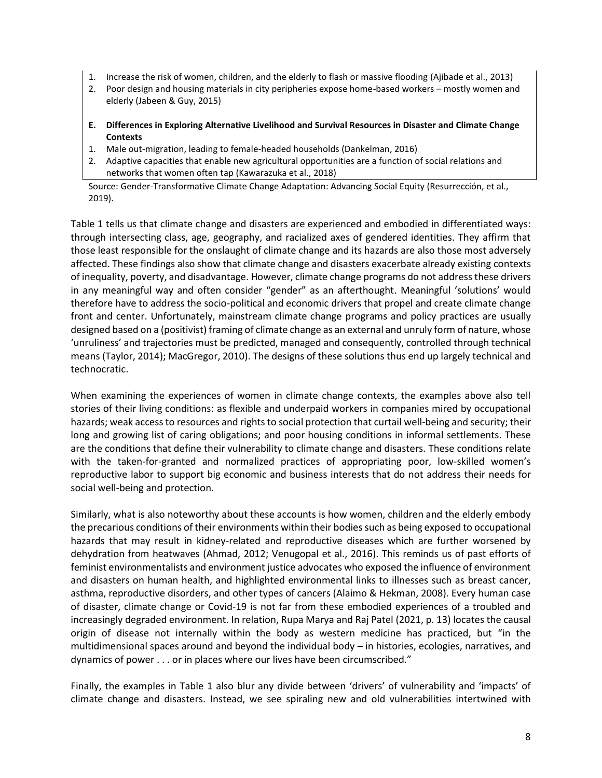- 1. Increase the risk of women, children, and the elderly to flash or massive flooding [\(Ajibade et al., 2013\)](#page-17-1)
- 2. Poor design and housing materials in city peripheries expose home-based workers mostly women and elderly [\(Jabeen & Guy, 2015\)](#page-19-12)
- **E. Differences in Exploring Alternative Livelihood and Survival Resources in Disaster and Climate Change Contexts**
- 1. Male out-migration, leading to female-headed households [\(Dankelman, 2016\)](#page-18-16)
- 2. Adaptive capacities that enable new agricultural opportunities are a function of social relations and networks that women often tap [\(Kawarazuka et al., 2018\)](#page-20-10)

Source: Gender-Transformative Climate Change Adaptation: Advancing Social Equity (Resurrección, et al., 2019).

Table 1 tells us that climate change and disasters are experienced and embodied in differentiated ways: through intersecting class, age, geography, and racialized axes of gendered identities. They affirm that those least responsible for the onslaught of climate change and its hazards are also those most adversely affected. These findings also show that climate change and disasters exacerbate already existing contexts of inequality, poverty, and disadvantage. However, climate change programs do not address these drivers in any meaningful way and often consider "gender" as an afterthought. Meaningful 'solutions' would therefore have to address the socio-political and economic drivers that propel and create climate change front and center. Unfortunately, mainstream climate change programs and policy practices are usually designed based on a (positivist) framing of climate change as an external and unruly form of nature, whose 'unruliness' and trajectories must be predicted, managed and consequently, controlled through technical means [\(Taylor, 2014\)](#page-22-11); MacGregor, 2010). The designs of these solutions thus end up largely technical and technocratic.

When examining the experiences of women in climate change contexts, the examples above also tell stories of their living conditions: as flexible and underpaid workers in companies mired by occupational hazards; weak access to resources and rights to social protection that curtail well-being and security; their long and growing list of caring obligations; and poor housing conditions in informal settlements. These are the conditions that define their vulnerability to climate change and disasters. These conditions relate with the taken-for-granted and normalized practices of appropriating poor, low-skilled women's reproductive labor to support big economic and business interests that do not address their needs for social well-being and protection.

Similarly, what is also noteworthy about these accounts is how women, children and the elderly embody the precarious conditions of their environments within their bodiessuch as being exposed to occupational hazards that may result in kidney-related and reproductive diseases which are further worsened by dehydration from heatwaves [\(Ahmad, 2012;](#page-17-0) [Venugopal et al., 2016\)](#page-22-10). This reminds us of past efforts of feminist environmentalists and environment justice advocates who exposed the influence of environment and disasters on human health, and highlighted environmental links to illnesses such as breast cancer, asthma, reproductive disorders, and other types of cancers [\(Alaimo & Hekman, 2008\)](#page-17-2). Every human case of disaster, climate change or Covid-19 is not far from these embodied experiences of a troubled and increasingly degraded environment. In relation, Rupa Marya and Raj Patel [\(2021, p. 13\)](#page-20-11) locates the causal origin of disease not internally within the body as western medicine has practiced, but "in the multidimensional spaces around and beyond the individual body – in histories, ecologies, narratives, and dynamics of power . . . or in places where our lives have been circumscribed."

Finally, the examples in Table 1 also blur any divide between 'drivers' of vulnerability and 'impacts' of climate change and disasters. Instead, we see spiraling new and old vulnerabilities intertwined with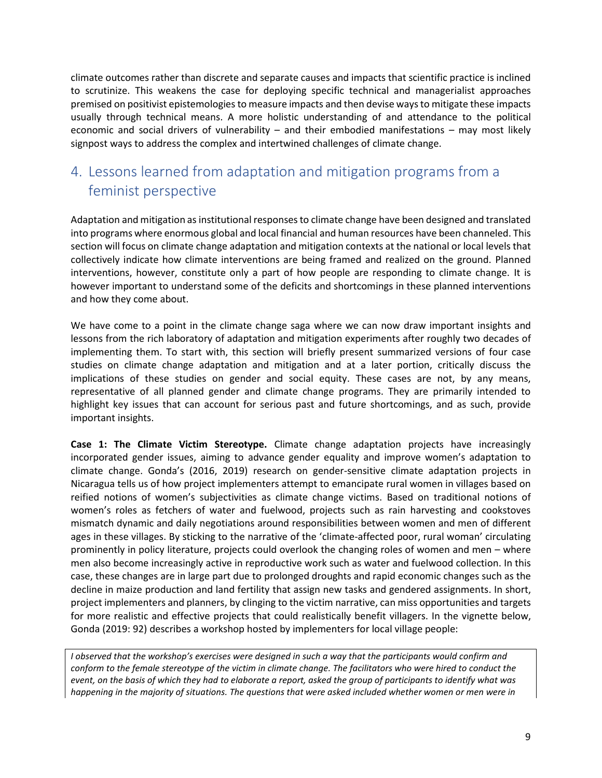climate outcomes rather than discrete and separate causes and impacts that scientific practice is inclined to scrutinize. This weakens the case for deploying specific technical and managerialist approaches premised on positivist epistemologiesto measure impacts and then devise ways to mitigate these impacts usually through technical means. A more holistic understanding of and attendance to the political economic and social drivers of vulnerability – and their embodied manifestations – may most likely signpost ways to address the complex and intertwined challenges of climate change.

# 4. Lessons learned from adaptation and mitigation programs from a feminist perspective

Adaptation and mitigation as institutional responses to climate change have been designed and translated into programs where enormous global and local financial and human resources have been channeled. This section will focus on climate change adaptation and mitigation contexts at the national or local levels that collectively indicate how climate interventions are being framed and realized on the ground. Planned interventions, however, constitute only a part of how people are responding to climate change. It is however important to understand some of the deficits and shortcomings in these planned interventions and how they come about.

We have come to a point in the climate change saga where we can now draw important insights and lessons from the rich laboratory of adaptation and mitigation experiments after roughly two decades of implementing them. To start with, this section will briefly present summarized versions of four case studies on climate change adaptation and mitigation and at a later portion, critically discuss the implications of these studies on gender and social equity. These cases are not, by any means, representative of all planned gender and climate change programs. They are primarily intended to highlight key issues that can account for serious past and future shortcomings, and as such, provide important insights.

**Case 1: The Climate Victim Stereotype.** Climate change adaptation projects have increasingly incorporated gender issues, aiming to advance gender equality and improve women's adaptation to climate change. Gonda's [\(2016,](#page-19-8) [2019\)](#page-19-13) research on gender-sensitive climate adaptation projects in Nicaragua tells us of how project implementers attempt to emancipate rural women in villages based on reified notions of women's subjectivities as climate change victims. Based on traditional notions of women's roles as fetchers of water and fuelwood, projects such as rain harvesting and cookstoves mismatch dynamic and daily negotiations around responsibilities between women and men of different ages in these villages. By sticking to the narrative of the 'climate-affected poor, rural woman' circulating prominently in policy literature, projects could overlook the changing roles of women and men – where men also become increasingly active in reproductive work such as water and fuelwood collection. In this case, these changes are in large part due to prolonged droughts and rapid economic changes such as the decline in maize production and land fertility that assign new tasks and gendered assignments. In short, project implementers and planners, by clinging to the victim narrative, can miss opportunities and targets for more realistic and effective projects that could realistically benefit villagers. In the vignette below, Gonda (2019: 92) describes a workshop hosted by implementers for local village people:

*I observed that the workshop's exercises were designed in such a way that the participants would confirm and conform to the female stereotype of the victim in climate change. The facilitators who were hired to conduct the event, on the basis of which they had to elaborate a report, asked the group of participants to identify what was happening in the majority of situations. The questions that were asked included whether women or men were in*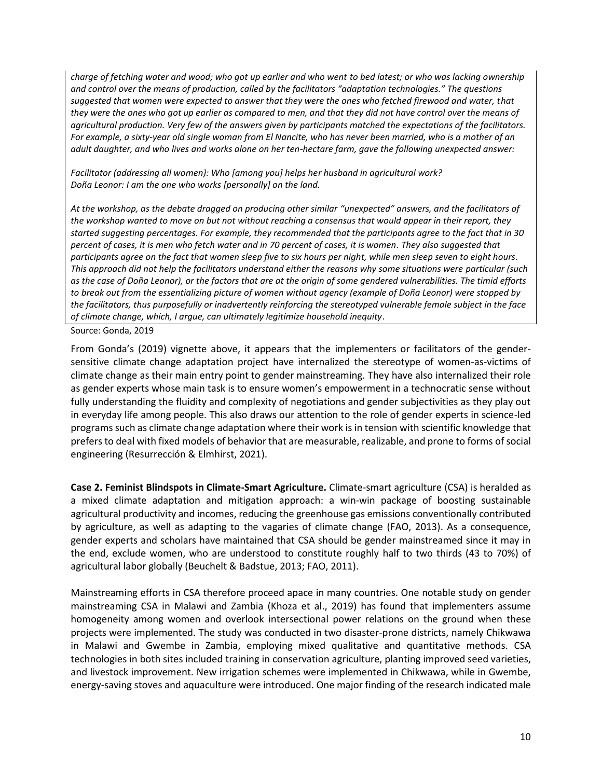*charge of fetching water and wood; who got up earlier and who went to bed latest; or who was lacking ownership and control over the means of production, called by the facilitators "adaptation technologies." The questions suggested that women were expected to answer that they were the ones who fetched firewood and water, that they were the ones who got up earlier as compared to men, and that they did not have control over the means of agricultural production. Very few of the answers given by participants matched the expectations of the facilitators. For example, a sixty-year old single woman from El Nancite, who has never been married, who is a mother of an adult daughter, and who lives and works alone on her ten-hectare farm, gave the following unexpected answer:*

*Facilitator (addressing all women): Who [among you] helps her husband in agricultural work? Doña Leonor: I am the one who works [personally] on the land.* 

*At the workshop, as the debate dragged on producing other similar "unexpected" answers, and the facilitators of the workshop wanted to move on but not without reaching a consensus that would appear in their report, they started suggesting percentages. For example, they recommended that the participants agree to the fact that in 30 percent of cases, it is men who fetch water and in 70 percent of cases, it is women. They also suggested that participants agree on the fact that women sleep five to six hours per night, while men sleep seven to eight hours. This approach did not help the facilitators understand either the reasons why some situations were particular (such as the case of Doña Leonor), or the factors that are at the origin of some gendered vulnerabilities. The timid efforts to break out from the essentializing picture of women without agency (example of Doña Leonor) were stopped by the facilitators, thus purposefully or inadvertently reinforcing the stereotyped vulnerable female subject in the face of climate change, which, I argue, can ultimately legitimize household inequity*.

Source: Gonda, 2019

From Gonda's (2019) vignette above, it appears that the implementers or facilitators of the gendersensitive climate change adaptation project have internalized the stereotype of women-as-victims of climate change as their main entry point to gender mainstreaming. They have also internalized their role as gender experts whose main task is to ensure women's empowerment in a technocratic sense without fully understanding the fluidity and complexity of negotiations and gender subjectivities as they play out in everyday life among people. This also draws our attention to the role of gender experts in science-led programs such as climate change adaptation where their work is in tension with scientific knowledge that prefers to deal with fixed models of behavior that are measurable, realizable, and prone to forms of social engineering [\(Resurrección & Elmhirst, 2021\)](#page-21-12).

**Case 2. Feminist Blindspots in Climate-Smart Agriculture.** Climate-smart agriculture (CSA) is heralded as a mixed climate adaptation and mitigation approach: a win-win package of boosting sustainable agricultural productivity and incomes, reducing the greenhouse gas emissions conventionally contributed by agriculture, as well as adapting to the vagaries of climate change [\(FAO, 2013\)](#page-19-14). As a consequence, gender experts and scholars have maintained that CSA should be gender mainstreamed since it may in the end, exclude women, who are understood to constitute roughly half to two thirds (43 to 70%) of agricultural labor globally [\(Beuchelt & Badstue, 2013;](#page-18-17) [FAO, 2011\)](#page-19-15).

Mainstreaming efforts in CSA therefore proceed apace in many countries. One notable study on gender mainstreaming CSA in Malawi and Zambia [\(Khoza et al., 2019\)](#page-20-12) has found that implementers assume homogeneity among women and overlook intersectional power relations on the ground when these projects were implemented. The study was conducted in two disaster-prone districts, namely Chikwawa in Malawi and Gwembe in Zambia, employing mixed qualitative and quantitative methods. CSA technologies in both sites included training in conservation agriculture, planting improved seed varieties, and livestock improvement. New irrigation schemes were implemented in Chikwawa, while in Gwembe, energy-saving stoves and aquaculture were introduced. One major finding of the research indicated male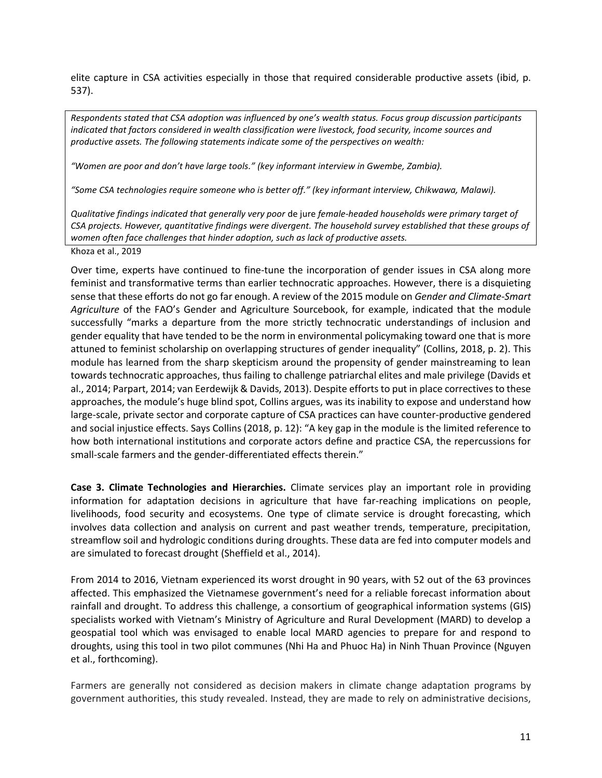elite capture in CSA activities especially in those that required considerable productive assets (ibid, p. 537).

*Respondents stated that CSA adoption was influenced by one's wealth status. Focus group discussion participants indicated that factors considered in wealth classification were livestock, food security, income sources and productive assets. The following statements indicate some of the perspectives on wealth:*

*"Women are poor and don't have large tools." (key informant interview in Gwembe, Zambia).*

*"Some CSA technologies require someone who is better off." (key informant interview, Chikwawa, Malawi).* 

*Qualitative findings indicated that generally very poor* de jure *female-headed households were primary target of CSA projects. However, quantitative findings were divergent. The household survey established that these groups of women often face challenges that hinder adoption, such as lack of productive assets.*

Khoza et al., 2019

Over time, experts have continued to fine-tune the incorporation of gender issues in CSA along more feminist and transformative terms than earlier technocratic approaches. However, there is a disquieting sense that these efforts do not go far enough. A review of the 2015 module on *Gender and Climate-Smart Agriculture* of the FAO's Gender and Agriculture Sourcebook, for example, indicated that the module successfully "marks a departure from the more strictly technocratic understandings of inclusion and gender equality that have tended to be the norm in environmental policymaking toward one that is more attuned to feminist scholarship on overlapping structures of gender inequality" [\(Collins, 2018, p. 2\)](#page-18-18). This module has learned from the sharp skepticism around the propensity of gender mainstreaming to lean towards technocratic approaches, thus failing to challenge patriarchal elites and male privilege [\(Davids et](#page-18-19)  [al., 2014;](#page-18-19) [Parpart, 2014;](#page-21-13) [van Eerdewijk & Davids, 2013\)](#page-22-12). Despite efforts to put in place correctives to these approaches, the module's huge blind spot, Collins argues, was its inability to expose and understand how large-scale, private sector and corporate capture of CSA practices can have counter-productive gendered and social injustice effects. Says Collins (2018, p. 12): "A key gap in the module is the limited reference to how both international institutions and corporate actors define and practice CSA, the repercussions for small-scale farmers and the gender-differentiated effects therein."

**Case 3. Climate Technologies and Hierarchies.** Climate services play an important role in providing information for adaptation decisions in agriculture that have far-reaching implications on people, livelihoods, food security and ecosystems. One type of climate service is drought forecasting, which involves data collection and analysis on current and past weather trends, temperature, precipitation, streamflow soil and hydrologic conditions during droughts. These data are fed into computer models and are simulated to forecast drought [\(Sheffield et al., 2014\)](#page-21-14).

From 2014 to 2016, Vietnam experienced its worst drought in 90 years, with 52 out of the 63 provinces affected. This emphasized the Vietnamese government's need for a reliable forecast information about rainfall and drought. To address this challenge, a consortium of geographical information systems (GIS) specialists worked with Vietnam's Ministry of Agriculture and Rural Development (MARD) to develop a geospatial tool which was envisaged to enable local MARD agencies to prepare for and respond to droughts, using this tool in two pilot communes (Nhi Ha and Phuoc Ha) in Ninh Thuan Province [\(Nguyen](#page-20-13)  [et al., forthcoming\)](#page-20-13).

Farmers are generally not considered as decision makers in climate change adaptation programs by government authorities, this study revealed. Instead, they are made to rely on administrative decisions,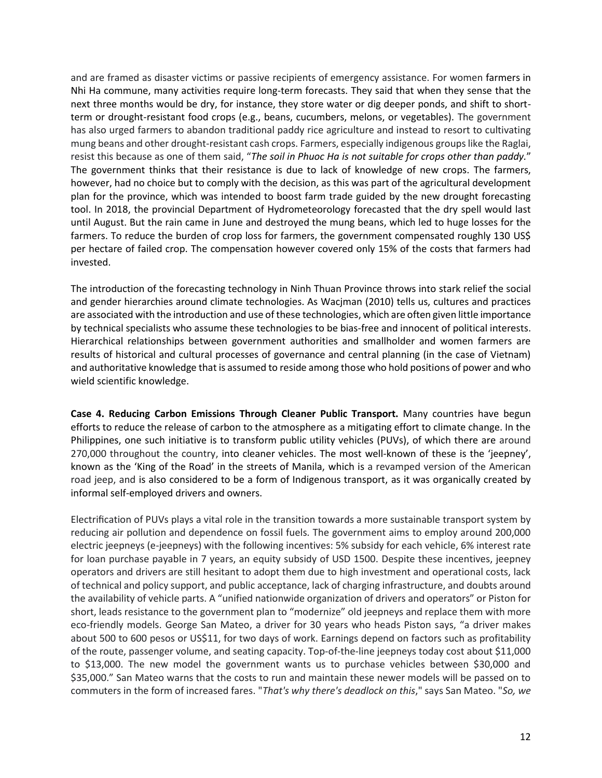and are framed as disaster victims or passive recipients of emergency assistance. For women farmers in Nhi Ha commune, many activities require long-term forecasts. They said that when they sense that the next three months would be dry, for instance, they store water or dig deeper ponds, and shift to shortterm or drought-resistant food crops (e.g., beans, cucumbers, melons, or vegetables). The government has also urged farmers to abandon traditional paddy rice agriculture and instead to resort to cultivating mung beans and other drought-resistant cash crops. Farmers, especially indigenous groups like the Raglai, resist this because as one of them said, "*The soil in Phuoc Ha is not suitable for crops other than paddy.*" The government thinks that their resistance is due to lack of knowledge of new crops. The farmers, however, had no choice but to comply with the decision, as this was part of the agricultural development plan for the province, which was intended to boost farm trade guided by the new drought forecasting tool. In 2018, the provincial Department of Hydrometeorology forecasted that the dry spell would last until August. But the rain came in June and destroyed the mung beans, which led to huge losses for the farmers. To reduce the burden of crop loss for farmers, the government compensated roughly 130 US\$ per hectare of failed crop. The compensation however covered only 15% of the costs that farmers had invested.

The introduction of the forecasting technology in Ninh Thuan Province throws into stark relief the social and gender hierarchies around climate technologies. As Wacjman [\(2010\)](#page-22-13) tells us, cultures and practices are associated with the introduction and use of these technologies, which are often given little importance by technical specialists who assume these technologies to be bias-free and innocent of political interests. Hierarchical relationships between government authorities and smallholder and women farmers are results of historical and cultural processes of governance and central planning (in the case of Vietnam) and authoritative knowledge that is assumed to reside among those who hold positions of power and who wield scientific knowledge.

**Case 4. Reducing Carbon Emissions Through Cleaner Public Transport.** Many countries have begun efforts to reduce the release of carbon to the atmosphere as a mitigating effort to climate change. In the Philippines, one such initiative is to transform public utility vehicles (PUVs), of which there are around 270,000 throughout the country, into cleaner vehicles. The most well-known of these is the 'jeepney', known as the 'King of the Road' in the streets of Manila, which is a revamped version of the American road jeep, and is also considered to be a form of Indigenous transport, as it was organically created by informal self-employed drivers and owners.

Electrification of PUVs plays a vital role in the transition towards a more sustainable transport system by reducing air pollution and dependence on fossil fuels. The government aims to employ around 200,000 electric jeepneys (e-jeepneys) with the following incentives: 5% subsidy for each vehicle, 6% interest rate for loan purchase payable in 7 years, an equity subsidy of USD 1500. Despite these incentives, jeepney operators and drivers are still hesitant to adopt them due to high investment and operational costs, lack of technical and policy support, and public acceptance, lack of charging infrastructure, and doubts around the availability of vehicle parts. A "unified nationwide organization of drivers and operators" or Piston for short, leads resistance to the government plan to "modernize" old jeepneys and replace them with more eco-friendly models. George San Mateo, a driver for 30 years who heads Piston says, "a driver makes about 500 to 600 pesos or US\$11, for two days of work. Earnings depend on factors such as profitability of the route, passenger volume, and seating capacity. Top-of-the-line jeepneys today cost about \$11,000 to \$13,000. The new model the government wants us to purchase vehicles between \$30,000 and \$35,000." San Mateo warns that the costs to run and maintain these newer models will be passed on to commuters in the form of increased fares. "*That's why there's deadlock on this*," says San Mateo. "*So, we*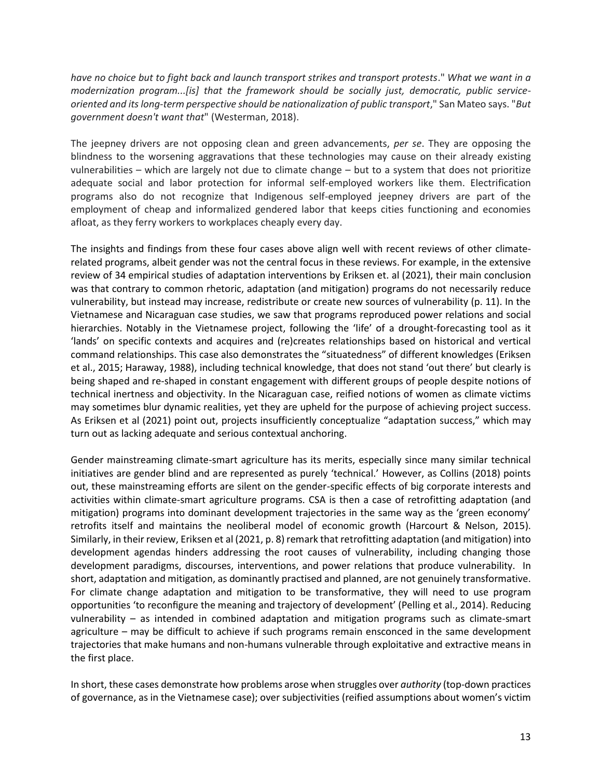*have no choice but to fight back and launch transport strikes and transport protests*." *What we want in a modernization program...[is] that the framework should be socially just, democratic, public serviceoriented and its long-term perspective should be nationalization of public transport*," San Mateo says. "*But government doesn't want that*" [\(Westerman, 2018\)](#page-22-14).

The jeepney drivers are not opposing clean and green advancements, *per se*. They are opposing the blindness to the worsening aggravations that these technologies may cause on their already existing vulnerabilities – which are largely not due to climate change – but to a system that does not prioritize adequate social and labor protection for informal self-employed workers like them. Electrification programs also do not recognize that Indigenous self-employed jeepney drivers are part of the employment of cheap and informalized gendered labor that keeps cities functioning and economies afloat, as they ferry workers to workplaces cheaply every day.

The insights and findings from these four cases above align well with recent reviews of other climaterelated programs, albeit gender was not the central focus in these reviews. For example, in the extensive review of 34 empirical studies of adaptation interventions by Eriksen et. al [\(2021\)](#page-18-20), their main conclusion was that contrary to common rhetoric, adaptation (and mitigation) programs do not necessarily reduce vulnerability, but instead may increase, redistribute or create new sources of vulnerability (p. 11). In the Vietnamese and Nicaraguan case studies, we saw that programs reproduced power relations and social hierarchies. Notably in the Vietnamese project, following the 'life' of a drought-forecasting tool as it 'lands' on specific contexts and acquires and (re)creates relationships based on historical and vertical command relationships. This case also demonstrates the "situatedness" of different knowledges [\(Eriksen](#page-19-16)  [et al., 2015;](#page-19-16) [Haraway, 1988\)](#page-19-17), including technical knowledge, that does not stand 'out there' but clearly is being shaped and re-shaped in constant engagement with different groups of people despite notions of technical inertness and objectivity. In the Nicaraguan case, reified notions of women as climate victims may sometimes blur dynamic realities, yet they are upheld for the purpose of achieving project success. As Eriksen et al (2021) point out, projects insufficiently conceptualize "adaptation success," which may turn out as lacking adequate and serious contextual anchoring.

Gender mainstreaming climate-smart agriculture has its merits, especially since many similar technical initiatives are gender blind and are represented as purely 'technical.' However, as Collins (2018) points out, these mainstreaming efforts are silent on the gender-specific effects of big corporate interests and activities within climate-smart agriculture programs. CSA is then a case of retrofitting adaptation (and mitigation) programs into dominant development trajectories in the same way as the 'green economy' retrofits itself and maintains the neoliberal model of economic growth [\(Harcourt & Nelson, 2015\)](#page-19-18). Similarly, in their review, Eriksen et al (2021, p. 8) remark that retrofitting adaptation (and mitigation) into development agendas hinders addressing the root causes of vulnerability, including changing those development paradigms, discourses, interventions, and power relations that produce vulnerability. In short, adaptation and mitigation, as dominantly practised and planned, are not genuinely transformative. For climate change adaptation and mitigation to be transformative, they will need to use program opportunities 'to reconfigure the meaning and trajectory of development' [\(Pelling et al., 2014\)](#page-21-15). Reducing vulnerability – as intended in combined adaptation and mitigation programs such as climate-smart agriculture – may be difficult to achieve if such programs remain ensconced in the same development trajectories that make humans and non-humans vulnerable through exploitative and extractive means in the first place.

In short, these cases demonstrate how problems arose when struggles over *authority* (top-down practices of governance, as in the Vietnamese case); over subjectivities (reified assumptions about women's victim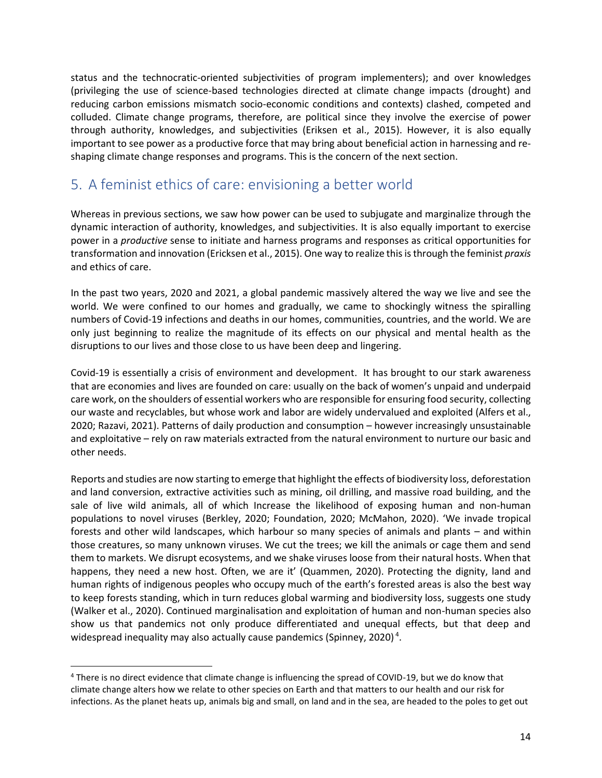status and the technocratic-oriented subjectivities of program implementers); and over knowledges (privileging the use of science-based technologies directed at climate change impacts (drought) and reducing carbon emissions mismatch socio-economic conditions and contexts) clashed, competed and colluded. Climate change programs, therefore, are political since they involve the exercise of power through authority, knowledges, and subjectivities [\(Eriksen et al., 2015\)](#page-19-16). However, it is also equally important to see power as a productive force that may bring about beneficial action in harnessing and reshaping climate change responses and programs. This is the concern of the next section.

## 5. A feminist ethics of care: envisioning a better world

Whereas in previous sections, we saw how power can be used to subjugate and marginalize through the dynamic interaction of authority, knowledges, and subjectivities. It is also equally important to exercise power in a *productive* sense to initiate and harness programs and responses as critical opportunities for transformation and innovation (Ericksen et al., 2015). One way to realize this is through the feminist *praxis* and ethics of care.

In the past two years, 2020 and 2021, a global pandemic massively altered the way we live and see the world. We were confined to our homes and gradually, we came to shockingly witness the spiralling numbers of Covid-19 infections and deaths in our homes, communities, countries, and the world. We are only just beginning to realize the magnitude of its effects on our physical and mental health as the disruptions to our lives and those close to us have been deep and lingering.

Covid-19 is essentially a crisis of environment and development. It has brought to our stark awareness that are economies and lives are founded on care: usually on the back of women's unpaid and underpaid care work, on the shoulders of essential workers who are responsible for ensuring food security, collecting our waste and recyclables, but whose work and labor are widely undervalued and exploited [\(Alfers et al.,](#page-18-21)  [2020;](#page-18-21) [Razavi, 2021\)](#page-21-16). Patterns of daily production and consumption – however increasingly unsustainable and exploitative – rely on raw materials extracted from the natural environment to nurture our basic and other needs.

Reports and studies are now starting to emerge that highlight the effects of biodiversity loss, deforestation and land conversion, extractive activities such as mining, oil drilling, and massive road building, and the sale of live wild animals, all of which Increase the likelihood of exposing human and non-human populations to novel viruses [\(Berkley, 2020;](#page-18-22) [Foundation, 2020;](#page-19-19) [McMahon, 2020\)](#page-20-14). 'We invade tropical forests and other wild landscapes, which harbour so many species of animals and plants – and within those creatures, so many unknown viruses. We cut the trees; we kill the animals or cage them and send them to markets. We disrupt ecosystems, and we shake viruses loose from their natural hosts. When that happens, they need a new host. Often, we are it' [\(Quammen, 2020\)](#page-21-17). Protecting the dignity, land and human rights of indigenous peoples who occupy much of the earth's forested areas is also the best way to keep forests standing, which in turn reduces global warming and biodiversity loss, suggests one study [\(Walker et al., 2020\)](#page-22-15). Continued marginalisation and exploitation of human and non-human species also show us that pandemics not only produce differentiated and unequal effects, but that deep and widespread inequality may also actually cause pandemics [\(Spinney, 2020\)](#page-22-16)<sup>4</sup>.

<sup>4</sup> There is no direct evidence that climate change is influencing the spread of COVID-19, but we do know that climate change alters how we relate to other species on Earth and that matters to our health and our risk for infections. As the planet heats up, animals big and small, on land and in the sea, are headed to the poles to get out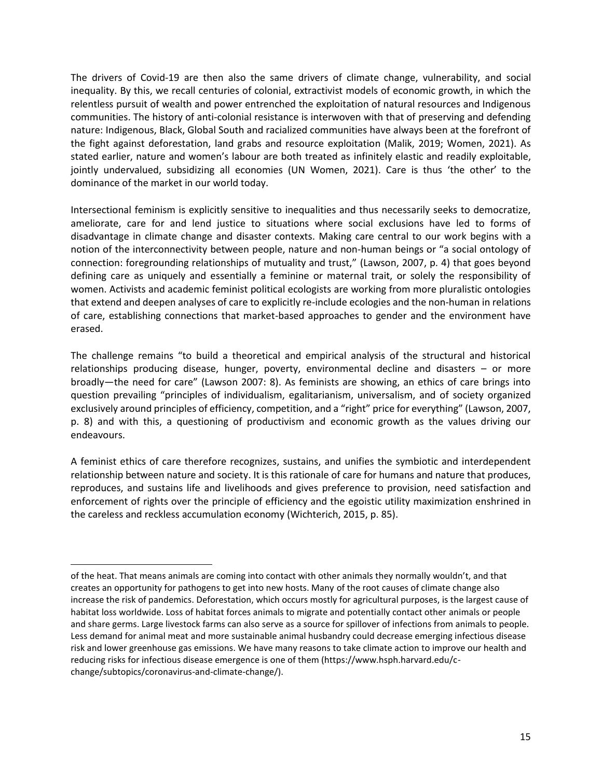The drivers of Covid-19 are then also the same drivers of climate change, vulnerability, and social inequality. By this, we recall centuries of colonial, extractivist models of economic growth, in which the relentless pursuit of wealth and power entrenched the exploitation of natural resources and Indigenous communities. The history of anti-colonial resistance is interwoven with that of preserving and defending nature: Indigenous, Black, Global South and racialized communities have always been at the forefront of the fight against deforestation, land grabs and resource exploitation [\(Malik, 2019;](#page-20-15) [Women, 2021\)](#page-22-17). As stated earlier, nature and women's labour are both treated as infinitely elastic and readily exploitable, jointly undervalued, subsidizing all economies (UN Women, 2021). Care is thus 'the other' to the dominance of the market in our world today.

Intersectional feminism is explicitly sensitive to inequalities and thus necessarily seeks to democratize, ameliorate, care for and lend justice to situations where social exclusions have led to forms of disadvantage in climate change and disaster contexts. Making care central to our work begins with a notion of the interconnectivity between people, nature and non-human beings or "a social ontology of connection: foregrounding relationships of mutuality and trust," [\(Lawson, 2007, p. 4\)](#page-20-16) that goes beyond defining care as uniquely and essentially a feminine or maternal trait, or solely the responsibility of women. Activists and academic feminist political ecologists are working from more pluralistic ontologies that extend and deepen analyses of care to explicitly re-include ecologies and the non-human in relations of care, establishing connections that market-based approaches to gender and the environment have erased.

The challenge remains "to build a theoretical and empirical analysis of the structural and historical relationships producing disease, hunger, poverty, environmental decline and disasters – or more broadly—the need for care" (Lawson 2007: 8). As feminists are showing, an ethics of care brings into question prevailing "principles of individualism, egalitarianism, universalism, and of society organized exclusively around principles of efficiency, competition, and a "right" price for everything" (Lawson, 2007, p. 8) and with this, a questioning of productivism and economic growth as the values driving our endeavours.

A feminist ethics of care therefore recognizes, sustains, and unifies the symbiotic and interdependent relationship between nature and society. It is this rationale of care for humans and nature that produces, reproduces, and sustains life and livelihoods and gives preference to provision, need satisfaction and enforcement of rights over the principle of efficiency and the egoistic utility maximization enshrined in the careless and reckless accumulation economy (Wichterich, 2015, p. 85).

of the heat. That means animals are coming into contact with other animals they normally wouldn't, and that creates an opportunity for pathogens to get into new hosts. Many of the root causes of climate change also increase the risk of pandemics. Deforestation, which occurs mostly for agricultural purposes, is the largest cause of habitat loss worldwide. Loss of habitat forces animals to migrate and potentially contact other animals or people and share germs. Large livestock farms can also serve as a source for spillover of infections from animals to people. Less demand for animal meat and more sustainable animal husbandry could decrease emerging infectious disease risk and lower greenhouse gas emissions. We have many reasons to take climate action to improve our health and reducing risks for infectious disease emergence is one of them (https://www.hsph.harvard.edu/cchange/subtopics/coronavirus-and-climate-change/).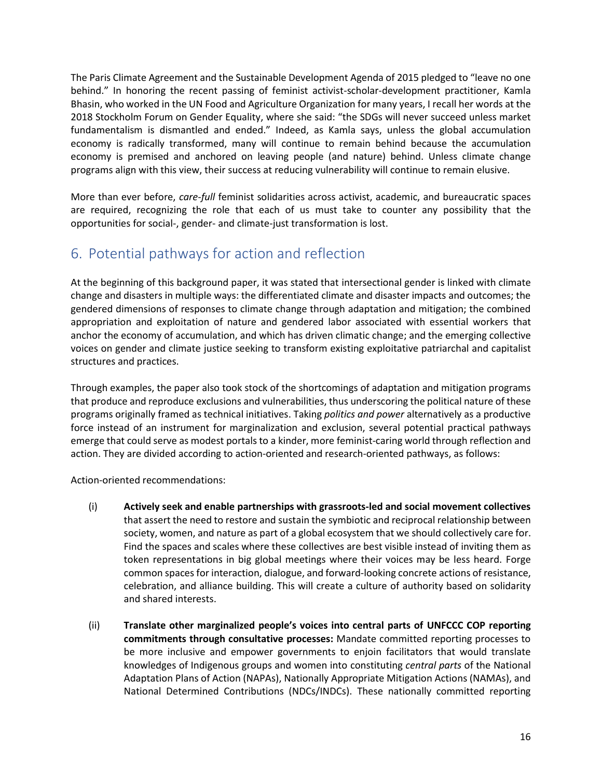The Paris Climate Agreement and the Sustainable Development Agenda of 2015 pledged to "leave no one behind." In honoring the recent passing of feminist activist-scholar-development practitioner, Kamla Bhasin, who worked in the UN Food and Agriculture Organization for many years, I recall her words at the 2018 Stockholm Forum on Gender Equality, where she said: "the SDGs will never succeed unless market fundamentalism is dismantled and ended." Indeed, as Kamla says, unless the global accumulation economy is radically transformed, many will continue to remain behind because the accumulation economy is premised and anchored on leaving people (and nature) behind. Unless climate change programs align with this view, their success at reducing vulnerability will continue to remain elusive.

More than ever before, *care-full* feminist solidarities across activist, academic, and bureaucratic spaces are required, recognizing the role that each of us must take to counter any possibility that the opportunities for social-, gender- and climate-just transformation is lost.

## 6. Potential pathways for action and reflection

At the beginning of this background paper, it was stated that intersectional gender is linked with climate change and disasters in multiple ways: the differentiated climate and disaster impacts and outcomes; the gendered dimensions of responses to climate change through adaptation and mitigation; the combined appropriation and exploitation of nature and gendered labor associated with essential workers that anchor the economy of accumulation, and which has driven climatic change; and the emerging collective voices on gender and climate justice seeking to transform existing exploitative patriarchal and capitalist structures and practices.

Through examples, the paper also took stock of the shortcomings of adaptation and mitigation programs that produce and reproduce exclusions and vulnerabilities, thus underscoring the political nature of these programs originally framed as technical initiatives. Taking *politics and power* alternatively as a productive force instead of an instrument for marginalization and exclusion, several potential practical pathways emerge that could serve as modest portals to a kinder, more feminist-caring world through reflection and action. They are divided according to action-oriented and research-oriented pathways, as follows:

Action-oriented recommendations:

- (i) **Actively seek and enable partnerships with grassroots-led and social movement collectives** that assert the need to restore and sustain the symbiotic and reciprocal relationship between society, women, and nature as part of a global ecosystem that we should collectively care for. Find the spaces and scales where these collectives are best visible instead of inviting them as token representations in big global meetings where their voices may be less heard. Forge common spaces for interaction, dialogue, and forward-looking concrete actions of resistance, celebration, and alliance building. This will create a culture of authority based on solidarity and shared interests.
- (ii) **Translate other marginalized people's voices into central parts of UNFCCC COP reporting commitments through consultative processes:** Mandate committed reporting processes to be more inclusive and empower governments to enjoin facilitators that would translate knowledges of Indigenous groups and women into constituting *central parts* of the National Adaptation Plans of Action (NAPAs), Nationally Appropriate Mitigation Actions (NAMAs), and National Determined Contributions (NDCs/INDCs). These nationally committed reporting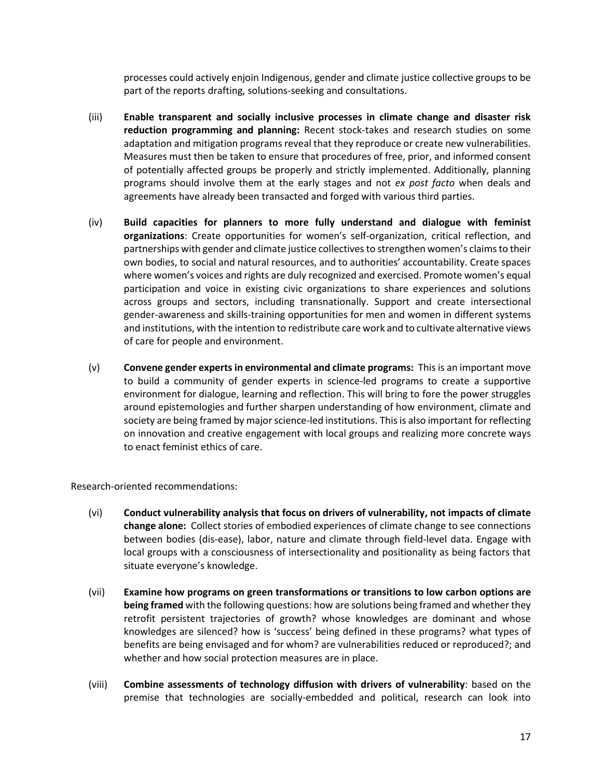processes could actively enjoin Indigenous, gender and climate justice collective groups to be part of the reports drafting, solutions-seeking and consultations.

- (iii) **Enable transparent and socially inclusive processes in climate change and disaster risk reduction programming and planning:** Recent stock-takes and research studies on some adaptation and mitigation programs reveal that they reproduce or create new vulnerabilities. Measures must then be taken to ensure that procedures of free, prior, and informed consent of potentially affected groups be properly and strictly implemented. Additionally, planning programs should involve them at the early stages and not *ex post facto* when deals and agreements have already been transacted and forged with various third parties.
- (iv) **Build capacities for planners to more fully understand and dialogue with feminist organizations**: Create opportunities for women's self-organization, critical reflection, and partnerships with gender and climate justice collectivesto strengthen women's claims to their own bodies, to social and natural resources, and to authorities' accountability. Create spaces where women's voices and rights are duly recognized and exercised. Promote women's equal participation and voice in existing civic organizations to share experiences and solutions across groups and sectors, including transnationally. Support and create intersectional gender-awareness and skills-training opportunities for men and women in different systems and institutions, with the intention to redistribute care work and to cultivate alternative views of care for people and environment.
- (v) **Convene gender experts in environmental and climate programs:** This is an important move to build a community of gender experts in science-led programs to create a supportive environment for dialogue, learning and reflection. This will bring to fore the power struggles around epistemologies and further sharpen understanding of how environment, climate and society are being framed by major science-led institutions. This is also important for reflecting on innovation and creative engagement with local groups and realizing more concrete ways to enact feminist ethics of care.

Research-oriented recommendations:

- (vi) **Conduct vulnerability analysis that focus on drivers of vulnerability, not impacts of climate change alone:** Collect stories of embodied experiences of climate change to see connections between bodies (dis-ease), labor, nature and climate through field-level data. Engage with local groups with a consciousness of intersectionality and positionality as being factors that situate everyone's knowledge.
- (vii) **Examine how programs on green transformations or transitions to low carbon options are being framed** with the following questions: how are solutions being framed and whether they retrofit persistent trajectories of growth? whose knowledges are dominant and whose knowledges are silenced? how is 'success' being defined in these programs? what types of benefits are being envisaged and for whom? are vulnerabilities reduced or reproduced?; and whether and how social protection measures are in place.
- (viii) **Combine assessments of technology diffusion with drivers of vulnerability**: based on the premise that technologies are socially-embedded and political, research can look into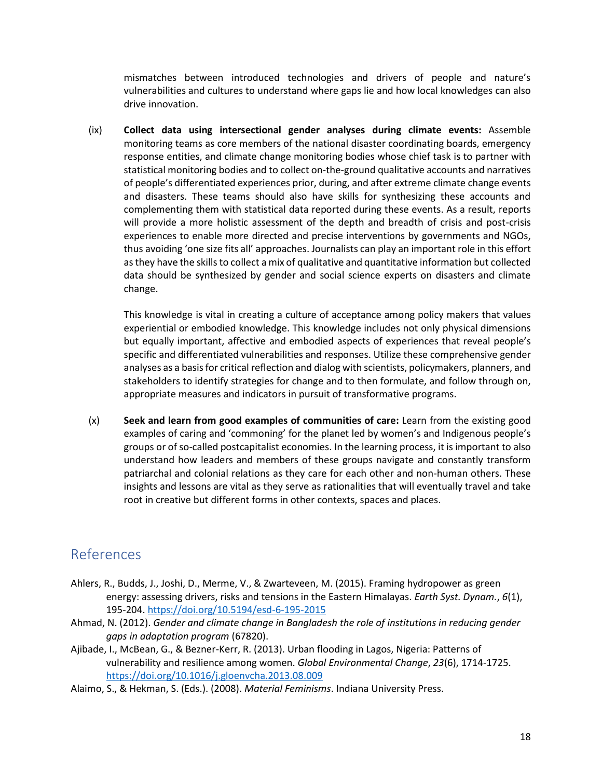mismatches between introduced technologies and drivers of people and nature's vulnerabilities and cultures to understand where gaps lie and how local knowledges can also drive innovation.

(ix) **Collect data using intersectional gender analyses during climate events:** Assemble monitoring teams as core members of the national disaster coordinating boards, emergency response entities, and climate change monitoring bodies whose chief task is to partner with statistical monitoring bodies and to collect on-the-ground qualitative accounts and narratives of people's differentiated experiences prior, during, and after extreme climate change events and disasters. These teams should also have skills for synthesizing these accounts and complementing them with statistical data reported during these events. As a result, reports will provide a more holistic assessment of the depth and breadth of crisis and post-crisis experiences to enable more directed and precise interventions by governments and NGOs, thus avoiding 'one size fits all' approaches. Journalists can play an important role in this effort as they have the skills to collect a mix of qualitative and quantitative information but collected data should be synthesized by gender and social science experts on disasters and climate change.

This knowledge is vital in creating a culture of acceptance among policy makers that values experiential or embodied knowledge. This knowledge includes not only physical dimensions but equally important, affective and embodied aspects of experiences that reveal people's specific and differentiated vulnerabilities and responses. Utilize these comprehensive gender analyses as a basis for critical reflection and dialog with scientists, policymakers, planners, and stakeholders to identify strategies for change and to then formulate, and follow through on, appropriate measures and indicators in pursuit of transformative programs.

(x) **Seek and learn from good examples of communities of care:** Learn from the existing good examples of caring and 'commoning' for the planet led by women's and Indigenous people's groups or of so-called postcapitalist economies. In the learning process, it is important to also understand how leaders and members of these groups navigate and constantly transform patriarchal and colonial relations as they care for each other and non-human others. These insights and lessons are vital as they serve as rationalities that will eventually travel and take root in creative but different forms in other contexts, spaces and places.

### References

- Ahlers, R., Budds, J., Joshi, D., Merme, V., & Zwarteveen, M. (2015). Framing hydropower as green energy: assessing drivers, risks and tensions in the Eastern Himalayas. *Earth Syst. Dynam.*, *6*(1), 195-204.<https://doi.org/10.5194/esd-6-195-2015>
- <span id="page-17-0"></span>Ahmad, N. (2012). *Gender and climate change in Bangladesh the role of institutions in reducing gender gaps in adaptation program* (67820).
- <span id="page-17-1"></span>Ajibade, I., McBean, G., & Bezner-Kerr, R. (2013). Urban flooding in Lagos, Nigeria: Patterns of vulnerability and resilience among women. *Global Environmental Change*, *23*(6), 1714-1725. <https://doi.org/10.1016/j.gloenvcha.2013.08.009>
- <span id="page-17-2"></span>Alaimo, S., & Hekman, S. (Eds.). (2008). *Material Feminisms*. Indiana University Press.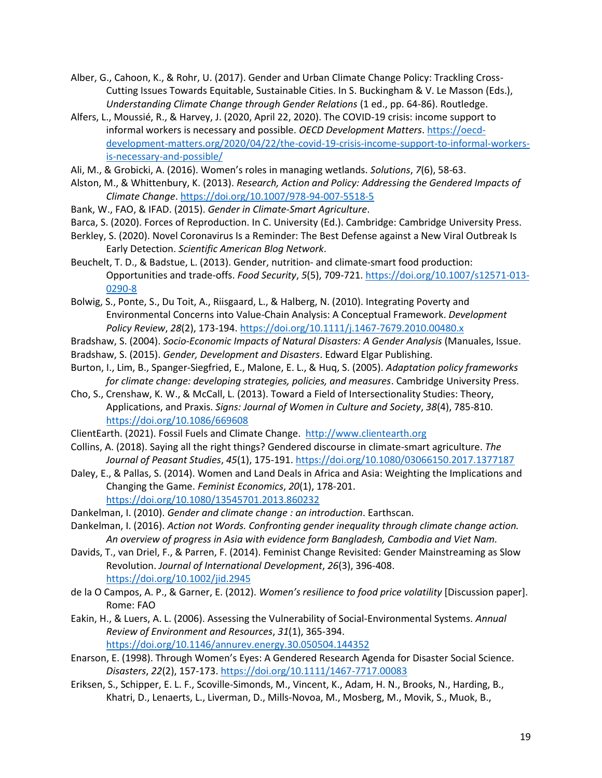- <span id="page-18-12"></span>Alber, G., Cahoon, K., & Rohr, U. (2017). Gender and Urban Climate Change Policy: Trackling Cross-Cutting Issues Towards Equitable, Sustainable Cities. In S. Buckingham & V. Le Masson (Eds.), *Understanding Climate Change through Gender Relations* (1 ed., pp. 64-86). Routledge.
- <span id="page-18-21"></span>Alfers, L., Moussié, R., & Harvey, J. (2020, April 22, 2020). The COVID-19 crisis: income support to informal workers is necessary and possible. *OECD Development Matters*[. https://oecd](https://oecd-development-matters.org/2020/04/22/the-covid-19-crisis-income-support-to-informal-workers-is-necessary-and-possible/)[development-matters.org/2020/04/22/the-covid-19-crisis-income-support-to-informal-workers](https://oecd-development-matters.org/2020/04/22/the-covid-19-crisis-income-support-to-informal-workers-is-necessary-and-possible/)[is-necessary-and-possible/](https://oecd-development-matters.org/2020/04/22/the-covid-19-crisis-income-support-to-informal-workers-is-necessary-and-possible/)
- <span id="page-18-11"></span>Ali, M., & Grobicki, A. (2016). Women's roles in managing wetlands. *Solutions*, *7*(6), 58-63.
- <span id="page-18-2"></span>Alston, M., & Whittenbury, K. (2013). *Research, Action and Policy: Addressing the Gendered Impacts of Climate Change*[. https://doi.org/10.1007/978-94-007-5518-5](https://doi.org/10.1007/978-94-007-5518-5)
- <span id="page-18-7"></span>Bank, W., FAO, & IFAD. (2015). *Gender in Climate-Smart Agriculture*.
- <span id="page-18-1"></span>Barca, S. (2020). Forces of Reproduction. In C. University (Ed.). Cambridge: Cambridge University Press.
- <span id="page-18-22"></span>Berkley, S. (2020). Novel Coronavirus Is a Reminder: The Best Defense against a New Viral Outbreak Is Early Detection. *Scientific American Blog Network*.
- <span id="page-18-17"></span>Beuchelt, T. D., & Badstue, L. (2013). Gender, nutrition- and climate-smart food production: Opportunities and trade-offs. *Food Security*, *5*(5), 709-721[. https://doi.org/10.1007/s12571-013-](https://doi.org/10.1007/s12571-013-0290-8) [0290-8](https://doi.org/10.1007/s12571-013-0290-8)
- <span id="page-18-13"></span>Bolwig, S., Ponte, S., Du Toit, A., Riisgaard, L., & Halberg, N. (2010). Integrating Poverty and Environmental Concerns into Value-Chain Analysis: A Conceptual Framework. *Development Policy Review*, *28*(2), 173-194.<https://doi.org/10.1111/j.1467-7679.2010.00480.x>
- <span id="page-18-9"></span>Bradshaw, S. (2004). *Socio-Economic Impacts of Natural Disasters: A Gender Analysis* (Manuales, Issue.
- <span id="page-18-3"></span>Bradshaw, S. (2015). *Gender, Development and Disasters*. Edward Elgar Publishing.
- <span id="page-18-8"></span>Burton, I., Lim, B., Spanger-Siegfried, E., Malone, E. L., & Huq, S. (2005). *Adaptation policy frameworks for climate change: developing strategies, policies, and measures*. Cambridge University Press.
- <span id="page-18-0"></span>Cho, S., Crenshaw, K. W., & McCall, L. (2013). Toward a Field of Intersectionality Studies: Theory, Applications, and Praxis. *Signs: Journal of Women in Culture and Society*, *38*(4), 785-810. <https://doi.org/10.1086/669608>
- <span id="page-18-6"></span>ClientEarth. (2021). Fossil Fuels and Climate Change. [http://www.clientearth.org](http://www.clientearth.org/)
- <span id="page-18-18"></span>Collins, A. (2018). Saying all the right things? Gendered discourse in climate-smart agriculture. *The Journal of Peasant Studies*, *45*(1), 175-191[. https://doi.org/10.1080/03066150.2017.1377187](https://doi.org/10.1080/03066150.2017.1377187)
- <span id="page-18-15"></span>Daley, E., & Pallas, S. (2014). Women and Land Deals in Africa and Asia: Weighting the Implications and Changing the Game. *Feminist Economics*, *20*(1), 178-201. <https://doi.org/10.1080/13545701.2013.860232>
- <span id="page-18-4"></span>Dankelman, I. (2010). *Gender and climate change : an introduction*. Earthscan.
- <span id="page-18-16"></span>Dankelman, I. (2016). *Action not Words. Confronting gender inequality through climate change action. An overview of progress in Asia with evidence form Bangladesh, Cambodia and Viet Nam.*
- <span id="page-18-19"></span>Davids, T., van Driel, F., & Parren, F. (2014). Feminist Change Revisited: Gender Mainstreaming as Slow Revolution. *Journal of International Development*, *26*(3), 396-408. <https://doi.org/10.1002/jid.2945>
- <span id="page-18-14"></span>de la O Campos, A. P., & Garner, E. (2012). *Women's resilience to food price volatility* [Discussion paper]. Rome: FAO
- <span id="page-18-10"></span>Eakin, H., & Luers, A. L. (2006). Assessing the Vulnerability of Social-Environmental Systems. *Annual Review of Environment and Resources*, *31*(1), 365-394. <https://doi.org/10.1146/annurev.energy.30.050504.144352>
- <span id="page-18-5"></span>Enarson, E. (1998). Through Women's Eyes: A Gendered Research Agenda for Disaster Social Science. *Disasters*, *22*(2), 157-173[. https://doi.org/10.1111/1467-7717.00083](https://doi.org/10.1111/1467-7717.00083)
- <span id="page-18-20"></span>Eriksen, S., Schipper, E. L. F., Scoville-Simonds, M., Vincent, K., Adam, H. N., Brooks, N., Harding, B., Khatri, D., Lenaerts, L., Liverman, D., Mills-Novoa, M., Mosberg, M., Movik, S., Muok, B.,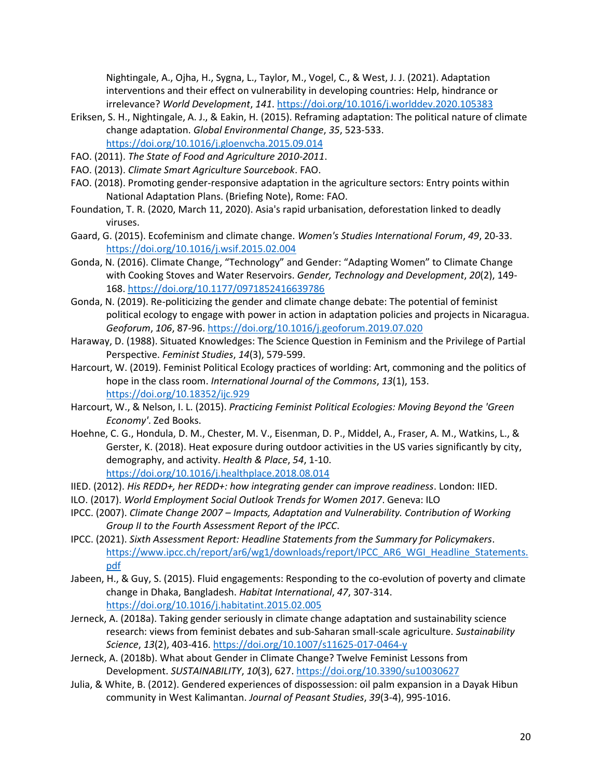Nightingale, A., Ojha, H., Sygna, L., Taylor, M., Vogel, C., & West, J. J. (2021). Adaptation interventions and their effect on vulnerability in developing countries: Help, hindrance or irrelevance? *World Development*, *141*.<https://doi.org/10.1016/j.worlddev.2020.105383>

<span id="page-19-16"></span>Eriksen, S. H., Nightingale, A. J., & Eakin, H. (2015). Reframing adaptation: The political nature of climate change adaptation. *Global Environmental Change*, *35*, 523-533. <https://doi.org/10.1016/j.gloenvcha.2015.09.014>

<span id="page-19-15"></span>FAO. (2011). *The State of Food and Agriculture 2010-2011*.

- <span id="page-19-14"></span>FAO. (2013). *Climate Smart Agriculture Sourcebook*. FAO.
- <span id="page-19-5"></span>FAO. (2018). Promoting gender-responsive adaptation in the agriculture sectors: Entry points within National Adaptation Plans. (Briefing Note), Rome: FAO.
- <span id="page-19-19"></span>Foundation, T. R. (2020, March 11, 2020). Asia's rapid urbanisation, deforestation linked to deadly viruses.
- <span id="page-19-1"></span>Gaard, G. (2015). Ecofeminism and climate change. *Women's Studies International Forum*, *49*, 20-33. <https://doi.org/10.1016/j.wsif.2015.02.004>
- <span id="page-19-8"></span>Gonda, N. (2016). Climate Change, "Technology" and Gender: "Adapting Women" to Climate Change with Cooking Stoves and Water Reservoirs. *Gender, Technology and Development*, *20*(2), 149- 168.<https://doi.org/10.1177/0971852416639786>
- <span id="page-19-13"></span>Gonda, N. (2019). Re-politicizing the gender and climate change debate: The potential of feminist political ecology to engage with power in action in adaptation policies and projects in Nicaragua. *Geoforum*, *106*, 87-96.<https://doi.org/10.1016/j.geoforum.2019.07.020>
- <span id="page-19-17"></span>Haraway, D. (1988). Situated Knowledges: The Science Question in Feminism and the Privilege of Partial Perspective. *Feminist Studies*, *14*(3), 579-599.
- <span id="page-19-7"></span>Harcourt, W. (2019). Feminist Political Ecology practices of worlding: Art, commoning and the politics of hope in the class room. *International Journal of the Commons*, *13*(1), 153. <https://doi.org/10.18352/ijc.929>
- <span id="page-19-18"></span>Harcourt, W., & Nelson, I. L. (2015). *Practicing Feminist Political Ecologies: Moving Beyond the 'Green Economy'*. Zed Books.
- <span id="page-19-10"></span>Hoehne, C. G., Hondula, D. M., Chester, M. V., Eisenman, D. P., Middel, A., Fraser, A. M., Watkins, L., & Gerster, K. (2018). Heat exposure during outdoor activities in the US varies significantly by city, demography, and activity. *Health & Place*, *54*, 1-10. <https://doi.org/10.1016/j.healthplace.2018.08.014>
- <span id="page-19-3"></span>IIED. (2012). *His REDD+, her REDD+: how integrating gender can improve readiness*. London: IIED.
- <span id="page-19-11"></span>ILO. (2017). *World Employment Social Outlook Trends for Women 2017*. Geneva: ILO
- <span id="page-19-4"></span>IPCC. (2007). *Climate Change 2007 – Impacts, Adaptation and Vulnerability. Contribution of Working Group II to the Fourth Assessment Report of the IPCC*.
- <span id="page-19-0"></span>IPCC. (2021). *Sixth Assessment Report: Headline Statements from the Summary for Policymakers*. [https://www.ipcc.ch/report/ar6/wg1/downloads/report/IPCC\\_AR6\\_WGI\\_Headline\\_Statements.](https://www.ipcc.ch/report/ar6/wg1/downloads/report/IPCC_AR6_WGI_Headline_Statements.pdf) [pdf](https://www.ipcc.ch/report/ar6/wg1/downloads/report/IPCC_AR6_WGI_Headline_Statements.pdf)
- <span id="page-19-12"></span>Jabeen, H., & Guy, S. (2015). Fluid engagements: Responding to the co-evolution of poverty and climate change in Dhaka, Bangladesh. *Habitat International*, *47*, 307-314. <https://doi.org/10.1016/j.habitatint.2015.02.005>
- <span id="page-19-2"></span>Jerneck, A. (2018a). Taking gender seriously in climate change adaptation and sustainability science research: views from feminist debates and sub-Saharan small-scale agriculture. *Sustainability Science*, *13*(2), 403-416[. https://doi.org/10.1007/s11625-017-0464-y](https://doi.org/10.1007/s11625-017-0464-y)
- <span id="page-19-6"></span>Jerneck, A. (2018b). What about Gender in Climate Change? Twelve Feminist Lessons from Development. *SUSTAINABILITY*, *10*(3), 627[. https://doi.org/10.3390/su10030627](https://doi.org/10.3390/su10030627)
- <span id="page-19-9"></span>Julia, & White, B. (2012). Gendered experiences of dispossession: oil palm expansion in a Dayak Hibun community in West Kalimantan. *Journal of Peasant Studies*, *39*(3-4), 995-1016.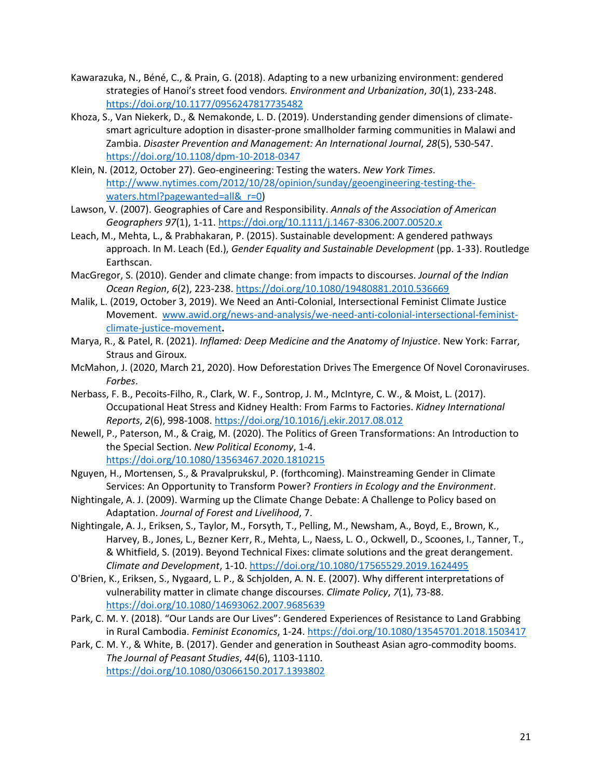- <span id="page-20-10"></span>Kawarazuka, N., Béné, C., & Prain, G. (2018). Adapting to a new urbanizing environment: gendered strategies of Hanoi's street food vendors. *Environment and Urbanization*, *30*(1), 233-248. <https://doi.org/10.1177/0956247817735482>
- <span id="page-20-12"></span>Khoza, S., Van Niekerk, D., & Nemakonde, L. D. (2019). Understanding gender dimensions of climatesmart agriculture adoption in disaster-prone smallholder farming communities in Malawi and Zambia. *Disaster Prevention and Management: An International Journal*, *28*(5), 530-547. <https://doi.org/10.1108/dpm-10-2018-0347>
- <span id="page-20-1"></span>Klein, N. (2012, October 27). Geo-engineering: Testing the waters. *New York Times*. [http://www.nytimes.com/2012/10/28/opinion/sunday/geoengineering-testing-the](http://www.nytimes.com/2012/10/28/opinion/sunday/geoengineering-testing-the-waters.html?pagewanted=all&_r=0)waters.html?pagewanted=all&r=0)
- <span id="page-20-16"></span>Lawson, V. (2007). Geographies of Care and Responsibility. *Annals of the Association of American Geographers 97*(1), 1-11.<https://doi.org/10.1111/j.1467-8306.2007.00520.x>
- <span id="page-20-2"></span>Leach, M., Mehta, L., & Prabhakaran, P. (2015). Sustainable development: A gendered pathways approach. In M. Leach (Ed.), *Gender Equality and Sustainable Development* (pp. 1-33). Routledge Earthscan.
- <span id="page-20-0"></span>MacGregor, S. (2010). Gender and climate change: from impacts to discourses. *Journal of the Indian Ocean Region*, *6*(2), 223-238.<https://doi.org/10.1080/19480881.2010.536669>
- <span id="page-20-15"></span>Malik, L. (2019, October 3, 2019). We Need an Anti-Colonial, Intersectional Feminist Climate Justice Movement. [www.awid.org/news-and-analysis/we-need-anti-colonial-intersectional-feminist](www.awid.org/news-and-analysis/we-need-anti-colonial-intersectional-feminist-climate-justice-movement)[climate-justice-movement](www.awid.org/news-and-analysis/we-need-anti-colonial-intersectional-feminist-climate-justice-movement)**.**
- <span id="page-20-11"></span>Marya, R., & Patel, R. (2021). *Inflamed: Deep Medicine and the Anatomy of Injustice*. New York: Farrar, Straus and Giroux.
- <span id="page-20-14"></span>McMahon, J. (2020, March 21, 2020). How Deforestation Drives The Emergence Of Novel Coronaviruses. *Forbes*.
- <span id="page-20-9"></span>Nerbass, F. B., Pecoits-Filho, R., Clark, W. F., Sontrop, J. M., McIntyre, C. W., & Moist, L. (2017). Occupational Heat Stress and Kidney Health: From Farms to Factories. *Kidney International Reports*, *2*(6), 998-1008.<https://doi.org/10.1016/j.ekir.2017.08.012>
- <span id="page-20-4"></span>Newell, P., Paterson, M., & Craig, M. (2020). The Politics of Green Transformations: An Introduction to the Special Section. *New Political Economy*, 1-4. <https://doi.org/10.1080/13563467.2020.1810215>
- <span id="page-20-13"></span>Nguyen, H., Mortensen, S., & Pravalprukskul, P. (forthcoming). Mainstreaming Gender in Climate Services: An Opportunity to Transform Power? *Frontiers in Ecology and the Environment*.
- <span id="page-20-3"></span>Nightingale, A. J. (2009). Warming up the Climate Change Debate: A Challenge to Policy based on Adaptation. *Journal of Forest and Livelihood*, 7.
- <span id="page-20-6"></span>Nightingale, A. J., Eriksen, S., Taylor, M., Forsyth, T., Pelling, M., Newsham, A., Boyd, E., Brown, K., Harvey, B., Jones, L., Bezner Kerr, R., Mehta, L., Naess, L. O., Ockwell, D., Scoones, I., Tanner, T., & Whitfield, S. (2019). Beyond Technical Fixes: climate solutions and the great derangement. *Climate and Development*, 1-10.<https://doi.org/10.1080/17565529.2019.1624495>
- <span id="page-20-5"></span>O'Brien, K., Eriksen, S., Nygaard, L. P., & Schjolden, A. N. E. (2007). Why different interpretations of vulnerability matter in climate change discourses. *Climate Policy*, *7*(1), 73-88. <https://doi.org/10.1080/14693062.2007.9685639>
- <span id="page-20-7"></span>Park, C. M. Y. (2018). "Our Lands are Our Lives": Gendered Experiences of Resistance to Land Grabbing in Rural Cambodia. *Feminist Economics*, 1-24[. https://doi.org/10.1080/13545701.2018.1503417](https://doi.org/10.1080/13545701.2018.1503417)
- <span id="page-20-8"></span>Park, C. M. Y., & White, B. (2017). Gender and generation in Southeast Asian agro-commodity booms. *The Journal of Peasant Studies*, *44*(6), 1103-1110. <https://doi.org/10.1080/03066150.2017.1393802>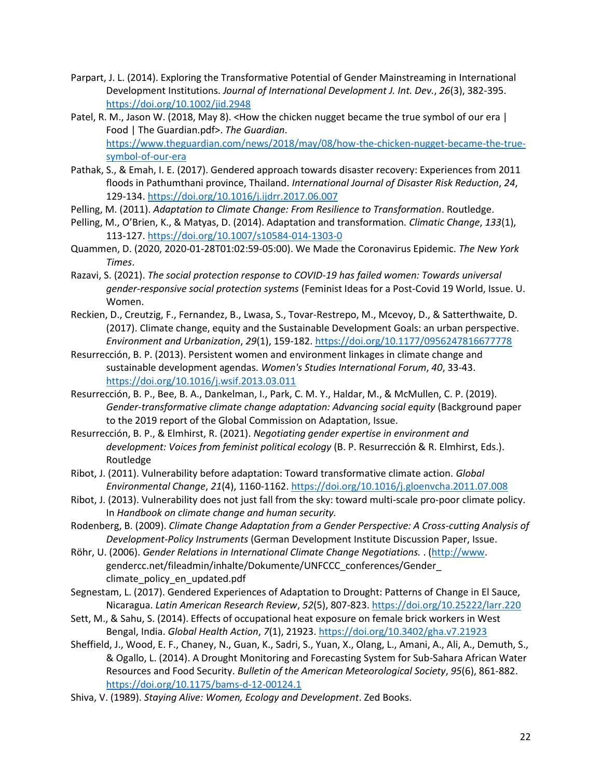- <span id="page-21-13"></span>Parpart, J. L. (2014). Exploring the Transformative Potential of Gender Mainstreaming in International Development Institutions. *Journal of International Development J. Int. Dev.*, *26*(3), 382-395. <https://doi.org/10.1002/jid.2948>
- Patel, R. M., Jason W. (2018, May 8). < How the chicken nugget became the true symbol of our era | Food | The Guardian.pdf>. *The Guardian*. [https://www.theguardian.com/news/2018/may/08/how-the-chicken-nugget-became-the-true](https://www.theguardian.com/news/2018/may/08/how-the-chicken-nugget-became-the-true-symbol-of-our-era)[symbol-of-our-era](https://www.theguardian.com/news/2018/may/08/how-the-chicken-nugget-became-the-true-symbol-of-our-era)
- <span id="page-21-10"></span>Pathak, S., & Emah, I. E. (2017). Gendered approach towards disaster recovery: Experiences from 2011 floods in Pathumthani province, Thailand. *International Journal of Disaster Risk Reduction*, *24*, 129-134.<https://doi.org/10.1016/j.ijdrr.2017.06.007>
- <span id="page-21-1"></span>Pelling, M. (2011). *Adaptation to Climate Change: From Resilience to Transformation*. Routledge.
- <span id="page-21-15"></span>Pelling, M., O'Brien, K., & Matyas, D. (2014). Adaptation and transformation. *Climatic Change*, *133*(1), 113-127.<https://doi.org/10.1007/s10584-014-1303-0>
- <span id="page-21-17"></span>Quammen, D. (2020, 2020-01-28T01:02:59-05:00). We Made the Coronavirus Epidemic. *The New York Times*.
- <span id="page-21-16"></span>Razavi, S. (2021). *The social protection response to COVID-19 has failed women: Towards universal gender-responsive social protection systems* (Feminist Ideas for a Post-Covid 19 World, Issue. U. Women.
- <span id="page-21-9"></span>Reckien, D., Creutzig, F., Fernandez, B., Lwasa, S., Tovar-Restrepo, M., Mcevoy, D., & Satterthwaite, D. (2017). Climate change, equity and the Sustainable Development Goals: an urban perspective. *Environment and Urbanization*, *29*(1), 159-182[. https://doi.org/10.1177/0956247816677778](https://doi.org/10.1177/0956247816677778)
- <span id="page-21-0"></span>Resurrección, B. P. (2013). Persistent women and environment linkages in climate change and sustainable development agendas. *Women's Studies International Forum*, *40*, 33-43. <https://doi.org/10.1016/j.wsif.2013.03.011>
- <span id="page-21-7"></span>Resurrección, B. P., Bee, B. A., Dankelman, I., Park, C. M. Y., Haldar, M., & McMullen, C. P. (2019). *Gender-transformative climate change adaptation: Advancing social equity* (Background paper to the 2019 report of the Global Commission on Adaptation, Issue.
- <span id="page-21-12"></span>Resurrección, B. P., & Elmhirst, R. (2021). *Negotiating gender expertise in environment and development: Voices from feminist political ecology* (B. P. Resurrección & R. Elmhirst, Eds.). Routledge
- <span id="page-21-5"></span>Ribot, J. (2011). Vulnerability before adaptation: Toward transformative climate action. *Global Environmental Change*, *21*(4), 1160-1162.<https://doi.org/10.1016/j.gloenvcha.2011.07.008>
- <span id="page-21-6"></span>Ribot, J. (2013). Vulnerability does not just fall from the sky: toward multi-scale pro-poor climate policy. In *Handbook on climate change and human security.*
- <span id="page-21-3"></span>Rodenberg, B. (2009). *Climate Change Adaptation from a Gender Perspective: A Cross-cutting Analysis of Development-Policy Instruments* (German Development Institute Discussion Paper, Issue.
- <span id="page-21-2"></span>Röhr, U. (2006). *Gender Relations in International Climate Change Negotiations.* . [\(http://www.](http://www/) gendercc.net/fileadmin/inhalte/Dokumente/UNFCCC\_conferences/Gender\_ climate policy en updated.pdf
- <span id="page-21-8"></span>Segnestam, L. (2017). Gendered Experiences of Adaptation to Drought: Patterns of Change in El Sauce, Nicaragua. *Latin American Research Review*, *52*(5), 807-823[. https://doi.org/10.25222/larr.220](https://doi.org/10.25222/larr.220)
- <span id="page-21-11"></span>Sett, M., & Sahu, S. (2014). Effects of occupational heat exposure on female brick workers in West Bengal, India. *Global Health Action*, *7*(1), 21923.<https://doi.org/10.3402/gha.v7.21923>
- <span id="page-21-14"></span>Sheffield, J., Wood, E. F., Chaney, N., Guan, K., Sadri, S., Yuan, X., Olang, L., Amani, A., Ali, A., Demuth, S., & Ogallo, L. (2014). A Drought Monitoring and Forecasting System for Sub-Sahara African Water Resources and Food Security. *Bulletin of the American Meteorological Society*, *95*(6), 861-882. <https://doi.org/10.1175/bams-d-12-00124.1>
- <span id="page-21-4"></span>Shiva, V. (1989). *Staying Alive: Women, Ecology and Development*. Zed Books.